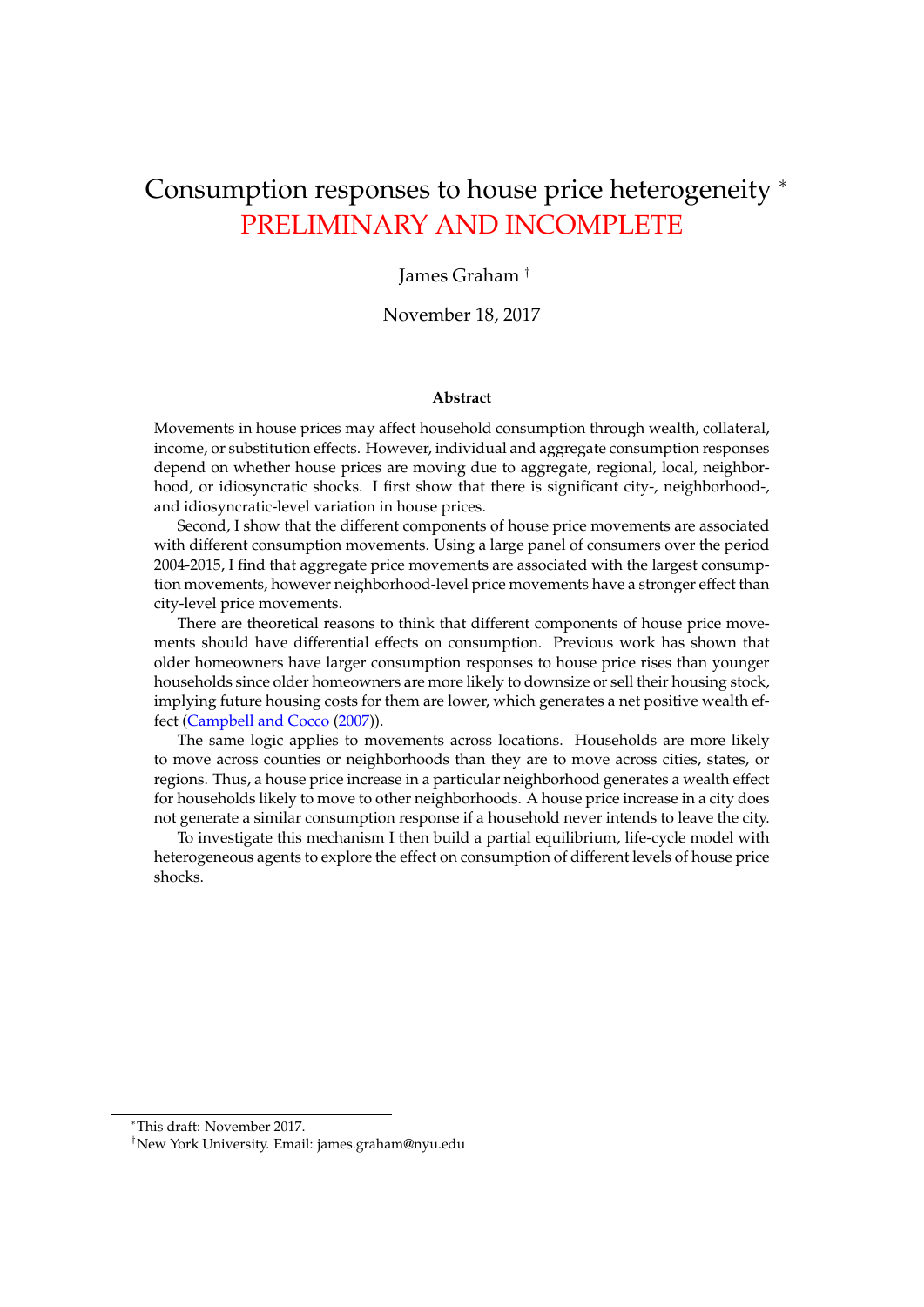# Consumption responses to house price heterogeneity <sup>∗</sup> PRELIMINARY AND INCOMPLETE

James Graham †

November 18, 2017

## **Abstract**

Movements in house prices may affect household consumption through wealth, collateral, income, or substitution effects. However, individual and aggregate consumption responses depend on whether house prices are moving due to aggregate, regional, local, neighborhood, or idiosyncratic shocks. I first show that there is significant city-, neighborhood-, and idiosyncratic-level variation in house prices.

Second, I show that the different components of house price movements are associated with different consumption movements. Using a large panel of consumers over the period 2004-2015, I find that aggregate price movements are associated with the largest consumption movements, however neighborhood-level price movements have a stronger effect than city-level price movements.

There are theoretical reasons to think that different components of house price movements should have differential effects on consumption. Previous work has shown that older homeowners have larger consumption responses to house price rises than younger households since older homeowners are more likely to downsize or sell their housing stock, implying future housing costs for them are lower, which generates a net positive wealth effect [\(Campbell and Cocco](#page-32-0) [\(2007\)](#page-32-0)).

The same logic applies to movements across locations. Households are more likely to move across counties or neighborhoods than they are to move across cities, states, or regions. Thus, a house price increase in a particular neighborhood generates a wealth effect for households likely to move to other neighborhoods. A house price increase in a city does not generate a similar consumption response if a household never intends to leave the city.

To investigate this mechanism I then build a partial equilibrium, life-cycle model with heterogeneous agents to explore the effect on consumption of different levels of house price shocks.

<sup>∗</sup>This draft: November 2017.

<sup>†</sup>New York University. Email: james.graham@nyu.edu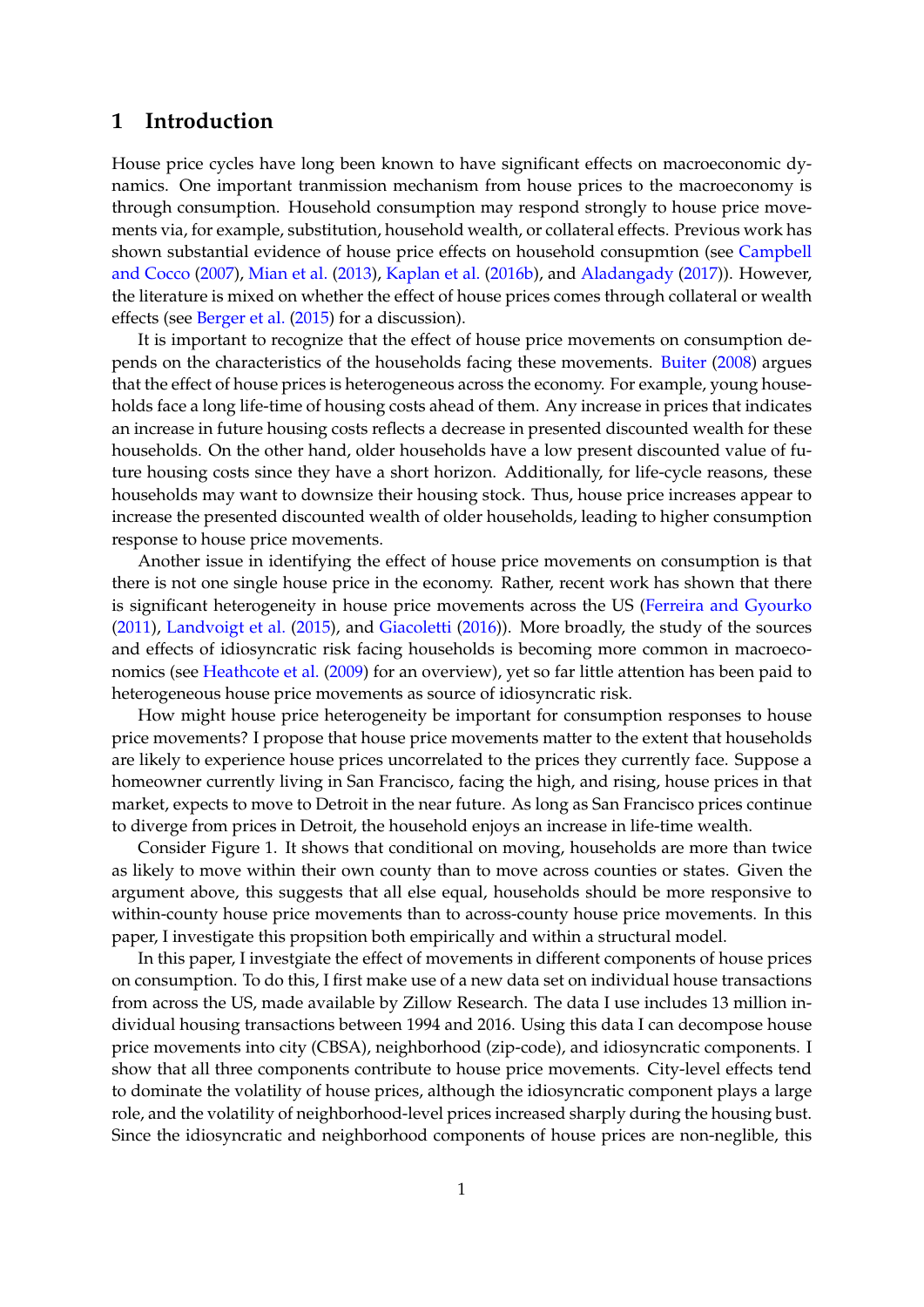# **1 Introduction**

House price cycles have long been known to have significant effects on macroeconomic dynamics. One important tranmission mechanism from house prices to the macroeconomy is through consumption. Household consumption may respond strongly to house price movements via, for example, substitution, household wealth, or collateral effects. Previous work has shown substantial evidence of house price effects on household consupmtion (see [Campbell](#page-32-0) [and Cocco](#page-32-0) [\(2007\)](#page-32-0), [Mian et al.](#page-33-0) [\(2013\)](#page-33-0), [Kaplan et al.](#page-33-1) [\(2016b\)](#page-33-1), and [Aladangady](#page-32-1) [\(2017\)](#page-32-1)). However, the literature is mixed on whether the effect of house prices comes through collateral or wealth effects (see [Berger et al.](#page-32-2) [\(2015\)](#page-32-2) for a discussion).

It is important to recognize that the effect of house price movements on consumption depends on the characteristics of the households facing these movements. [Buiter](#page-32-3) [\(2008\)](#page-32-3) argues that the effect of house prices is heterogeneous across the economy. For example, young households face a long life-time of housing costs ahead of them. Any increase in prices that indicates an increase in future housing costs reflects a decrease in presented discounted wealth for these households. On the other hand, older households have a low present discounted value of future housing costs since they have a short horizon. Additionally, for life-cycle reasons, these households may want to downsize their housing stock. Thus, house price increases appear to increase the presented discounted wealth of older households, leading to higher consumption response to house price movements.

Another issue in identifying the effect of house price movements on consumption is that there is not one single house price in the economy. Rather, recent work has shown that there is significant heterogeneity in house price movements across the US [\(Ferreira and Gyourko](#page-32-4) [\(2011\)](#page-32-4), [Landvoigt et al.](#page-33-2) [\(2015\)](#page-33-2), and [Giacoletti](#page-32-5) [\(2016\)](#page-32-5)). More broadly, the study of the sources and effects of idiosyncratic risk facing households is becoming more common in macroeconomics (see [Heathcote et al.](#page-32-6) [\(2009\)](#page-32-6) for an overview), yet so far little attention has been paid to heterogeneous house price movements as source of idiosyncratic risk.

How might house price heterogeneity be important for consumption responses to house price movements? I propose that house price movements matter to the extent that households are likely to experience house prices uncorrelated to the prices they currently face. Suppose a homeowner currently living in San Francisco, facing the high, and rising, house prices in that market, expects to move to Detroit in the near future. As long as San Francisco prices continue to diverge from prices in Detroit, the household enjoys an increase in life-time wealth.

Consider Figure [1.](#page-2-0) It shows that conditional on moving, households are more than twice as likely to move within their own county than to move across counties or states. Given the argument above, this suggests that all else equal, households should be more responsive to within-county house price movements than to across-county house price movements. In this paper, I investigate this propsition both empirically and within a structural model.

In this paper, I investgiate the effect of movements in different components of house prices on consumption. To do this, I first make use of a new data set on individual house transactions from across the US, made available by Zillow Research. The data I use includes 13 million individual housing transactions between 1994 and 2016. Using this data I can decompose house price movements into city (CBSA), neighborhood (zip-code), and idiosyncratic components. I show that all three components contribute to house price movements. City-level effects tend to dominate the volatility of house prices, although the idiosyncratic component plays a large role, and the volatility of neighborhood-level prices increased sharply during the housing bust. Since the idiosyncratic and neighborhood components of house prices are non-neglible, this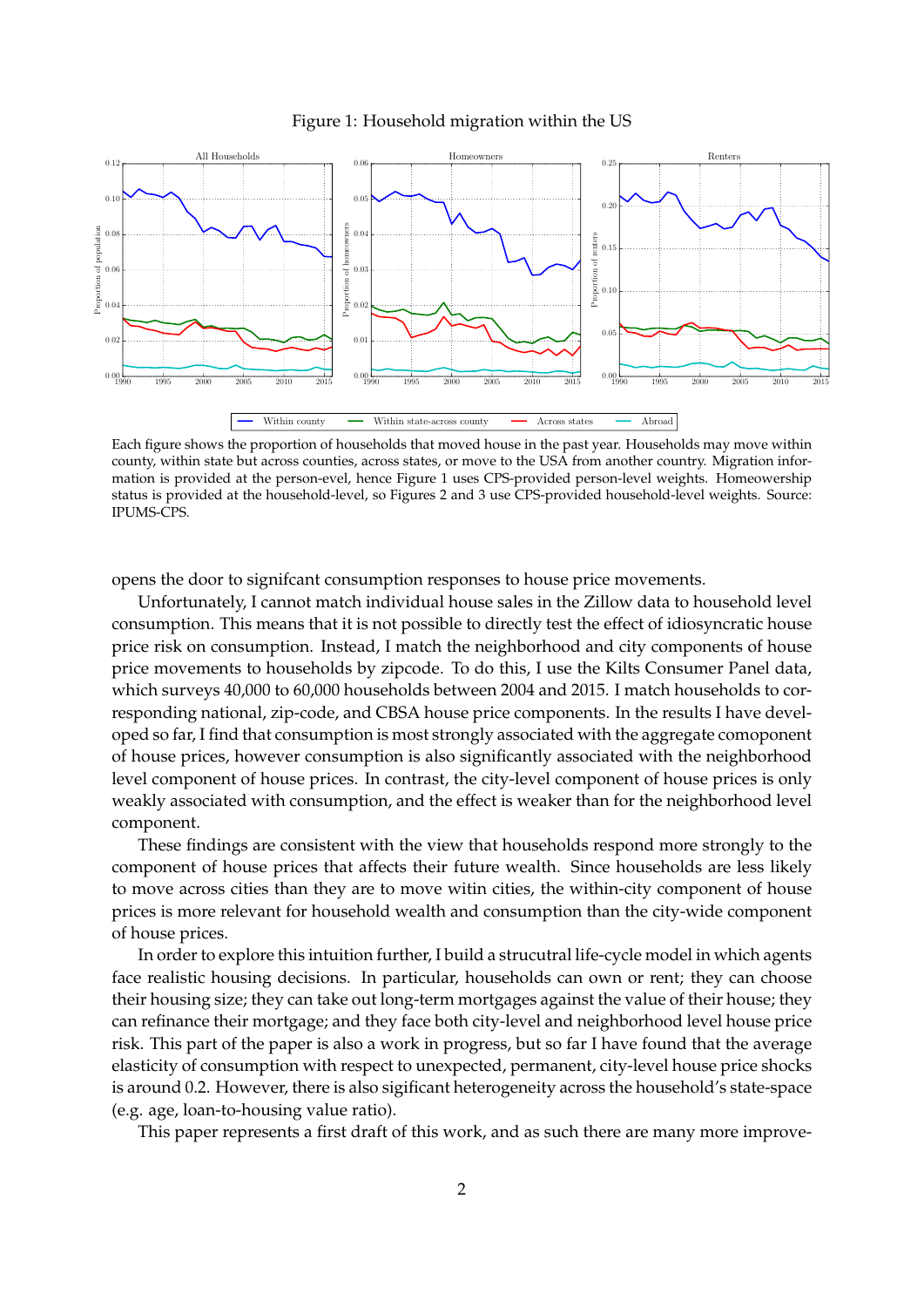<span id="page-2-0"></span>

### Figure 1: Household migration within the US

Each figure shows the proportion of households that moved house in the past year. Households may move within county, within state but across counties, across states, or move to the USA from another country. Migration information is provided at the person-evel, hence Figure 1 uses CPS-provided person-level weights. Homeowership status is provided at the household-level, so Figures 2 and 3 use CPS-provided household-level weights. Source: IPUMS-CPS.

opens the door to signifcant consumption responses to house price movements.

Unfortunately, I cannot match individual house sales in the Zillow data to household level consumption. This means that it is not possible to directly test the effect of idiosyncratic house price risk on consumption. Instead, I match the neighborhood and city components of house price movements to households by zipcode. To do this, I use the Kilts Consumer Panel data, which surveys 40,000 to 60,000 households between 2004 and 2015. I match households to corresponding national, zip-code, and CBSA house price components. In the results I have developed so far, I find that consumption is most strongly associated with the aggregate comoponent of house prices, however consumption is also significantly associated with the neighborhood level component of house prices. In contrast, the city-level component of house prices is only weakly associated with consumption, and the effect is weaker than for the neighborhood level component.

These findings are consistent with the view that households respond more strongly to the component of house prices that affects their future wealth. Since households are less likely to move across cities than they are to move witin cities, the within-city component of house prices is more relevant for household wealth and consumption than the city-wide component of house prices.

In order to explore this intuition further, I build a strucutral life-cycle model in which agents face realistic housing decisions. In particular, households can own or rent; they can choose their housing size; they can take out long-term mortgages against the value of their house; they can refinance their mortgage; and they face both city-level and neighborhood level house price risk. This part of the paper is also a work in progress, but so far I have found that the average elasticity of consumption with respect to unexpected, permanent, city-level house price shocks is around 0.2. However, there is also sigificant heterogeneity across the household's state-space (e.g. age, loan-to-housing value ratio).

This paper represents a first draft of this work, and as such there are many more improve-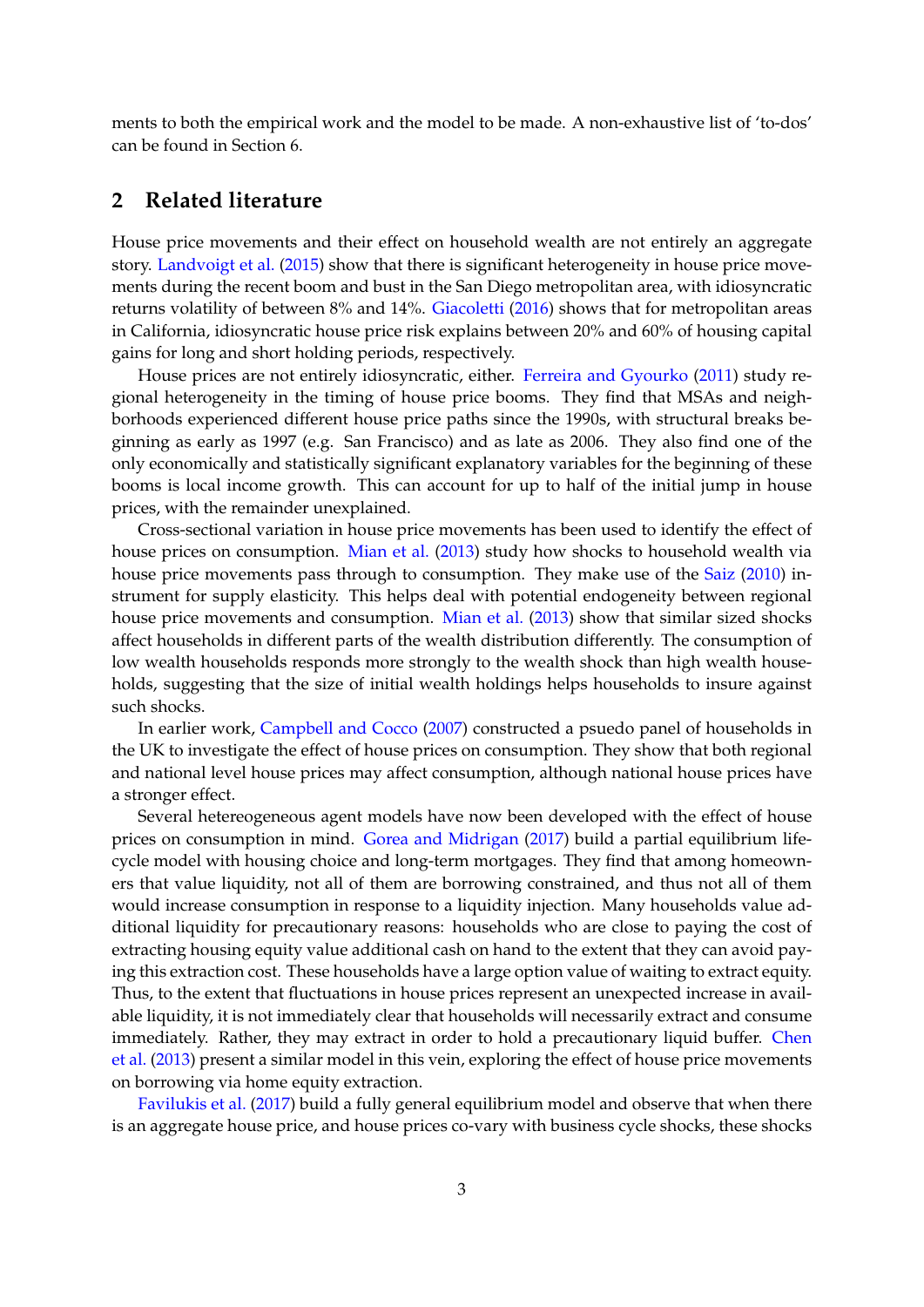ments to both the empirical work and the model to be made. A non-exhaustive list of 'to-dos' can be found in Section [6.](#page-24-0)

# **2 Related literature**

House price movements and their effect on household wealth are not entirely an aggregate story. [Landvoigt et al.](#page-33-2) [\(2015\)](#page-33-2) show that there is significant heterogeneity in house price movements during the recent boom and bust in the San Diego metropolitan area, with idiosyncratic returns volatility of between 8% and 14%. [Giacoletti](#page-32-5) [\(2016\)](#page-32-5) shows that for metropolitan areas in California, idiosyncratic house price risk explains between 20% and 60% of housing capital gains for long and short holding periods, respectively.

House prices are not entirely idiosyncratic, either. [Ferreira and Gyourko](#page-32-4) [\(2011\)](#page-32-4) study regional heterogeneity in the timing of house price booms. They find that MSAs and neighborhoods experienced different house price paths since the 1990s, with structural breaks beginning as early as 1997 (e.g. San Francisco) and as late as 2006. They also find one of the only economically and statistically significant explanatory variables for the beginning of these booms is local income growth. This can account for up to half of the initial jump in house prices, with the remainder unexplained.

Cross-sectional variation in house price movements has been used to identify the effect of house prices on consumption. [Mian et al.](#page-33-0) [\(2013\)](#page-33-0) study how shocks to household wealth via house price movements pass through to consumption. They make use of the [Saiz](#page-33-3) [\(2010\)](#page-33-3) instrument for supply elasticity. This helps deal with potential endogeneity between regional house price movements and consumption. [Mian et al.](#page-33-0) [\(2013\)](#page-33-0) show that similar sized shocks affect households in different parts of the wealth distribution differently. The consumption of low wealth households responds more strongly to the wealth shock than high wealth households, suggesting that the size of initial wealth holdings helps households to insure against such shocks.

In earlier work, [Campbell and Cocco](#page-32-0) [\(2007\)](#page-32-0) constructed a psuedo panel of households in the UK to investigate the effect of house prices on consumption. They show that both regional and national level house prices may affect consumption, although national house prices have a stronger effect.

Several hetereogeneous agent models have now been developed with the effect of house prices on consumption in mind. [Gorea and Midrigan](#page-32-7) [\(2017\)](#page-32-7) build a partial equilibrium lifecycle model with housing choice and long-term mortgages. They find that among homeowners that value liquidity, not all of them are borrowing constrained, and thus not all of them would increase consumption in response to a liquidity injection. Many households value additional liquidity for precautionary reasons: households who are close to paying the cost of extracting housing equity value additional cash on hand to the extent that they can avoid paying this extraction cost. These households have a large option value of waiting to extract equity. Thus, to the extent that fluctuations in house prices represent an unexpected increase in available liquidity, it is not immediately clear that households will necessarily extract and consume immediately. Rather, they may extract in order to hold a precautionary liquid buffer. [Chen](#page-32-8) [et al.](#page-32-8) [\(2013\)](#page-32-8) present a similar model in this vein, exploring the effect of house price movements on borrowing via home equity extraction.

[Favilukis et al.](#page-32-9) [\(2017\)](#page-32-9) build a fully general equilibrium model and observe that when there is an aggregate house price, and house prices co-vary with business cycle shocks, these shocks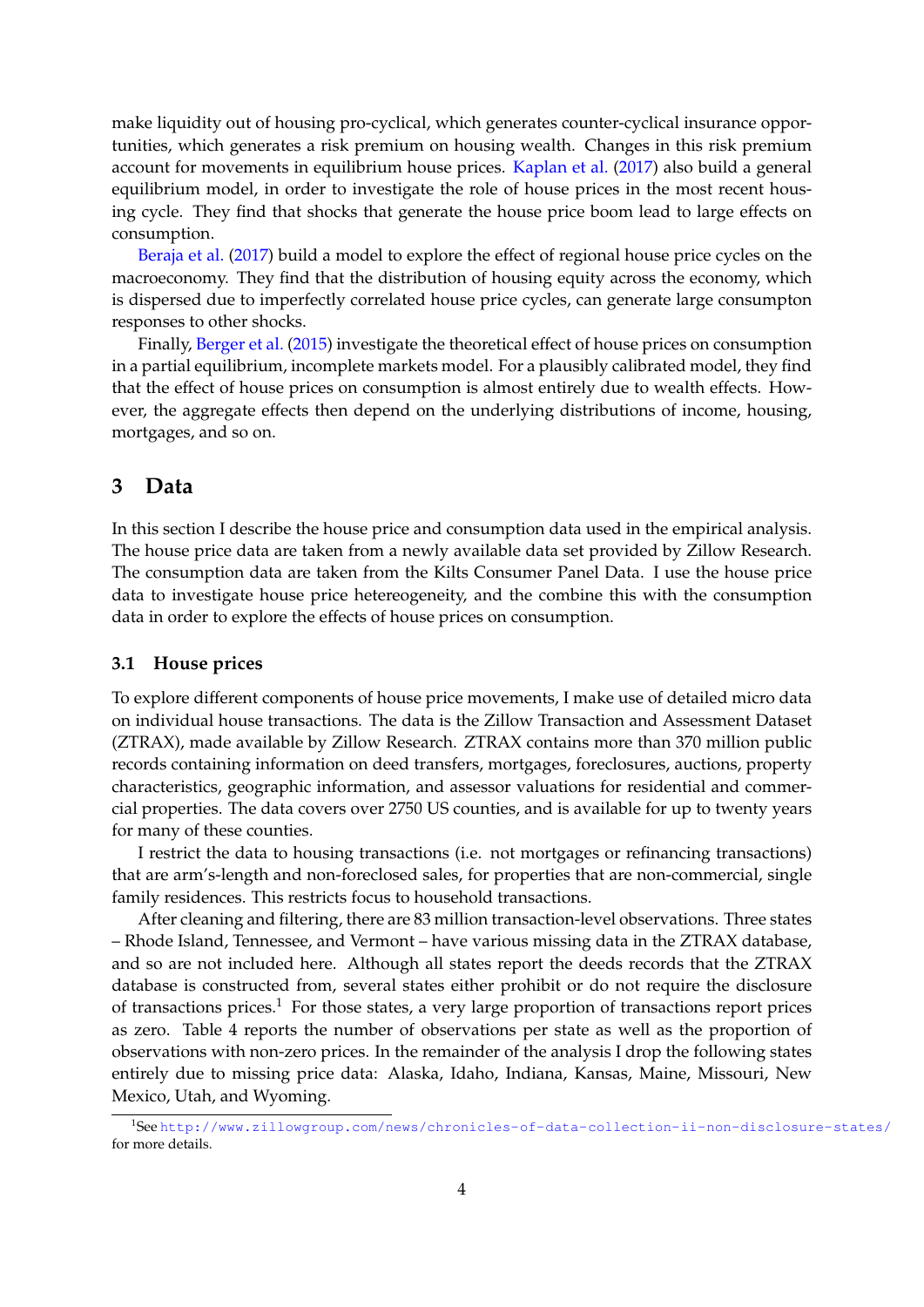make liquidity out of housing pro-cyclical, which generates counter-cyclical insurance opportunities, which generates a risk premium on housing wealth. Changes in this risk premium account for movements in equilibrium house prices. [Kaplan et al.](#page-33-4) [\(2017\)](#page-33-4) also build a general equilibrium model, in order to investigate the role of house prices in the most recent housing cycle. They find that shocks that generate the house price boom lead to large effects on consumption.

[Beraja et al.](#page-32-10) [\(2017\)](#page-32-10) build a model to explore the effect of regional house price cycles on the macroeconomy. They find that the distribution of housing equity across the economy, which is dispersed due to imperfectly correlated house price cycles, can generate large consumpton responses to other shocks.

Finally, [Berger et al.](#page-32-2) [\(2015\)](#page-32-2) investigate the theoretical effect of house prices on consumption in a partial equilibrium, incomplete markets model. For a plausibly calibrated model, they find that the effect of house prices on consumption is almost entirely due to wealth effects. However, the aggregate effects then depend on the underlying distributions of income, housing, mortgages, and so on.

# **3 Data**

In this section I describe the house price and consumption data used in the empirical analysis. The house price data are taken from a newly available data set provided by Zillow Research. The consumption data are taken from the Kilts Consumer Panel Data. I use the house price data to investigate house price hetereogeneity, and the combine this with the consumption data in order to explore the effects of house prices on consumption.

## **3.1 House prices**

To explore different components of house price movements, I make use of detailed micro data on individual house transactions. The data is the Zillow Transaction and Assessment Dataset (ZTRAX), made available by Zillow Research. ZTRAX contains more than 370 million public records containing information on deed transfers, mortgages, foreclosures, auctions, property characteristics, geographic information, and assessor valuations for residential and commercial properties. The data covers over 2750 US counties, and is available for up to twenty years for many of these counties.

I restrict the data to housing transactions (i.e. not mortgages or refinancing transactions) that are arm's-length and non-foreclosed sales, for properties that are non-commercial, single family residences. This restricts focus to household transactions.

After cleaning and filtering, there are 83 million transaction-level observations. Three states – Rhode Island, Tennessee, and Vermont – have various missing data in the ZTRAX database, and so are not included here. Although all states report the deeds records that the ZTRAX database is constructed from, several states either prohibit or do not require the disclosure of transactions prices.<sup>[1](#page-4-0)</sup> For those states, a very large proportion of transactions report prices as zero. Table [4](#page-27-0) reports the number of observations per state as well as the proportion of observations with non-zero prices. In the remainder of the analysis I drop the following states entirely due to missing price data: Alaska, Idaho, Indiana, Kansas, Maine, Missouri, New Mexico, Utah, and Wyoming.

<span id="page-4-0"></span><sup>1</sup> See <http://www.zillowgroup.com/news/chronicles-of-data-collection-ii-non-disclosure-states/> for more details.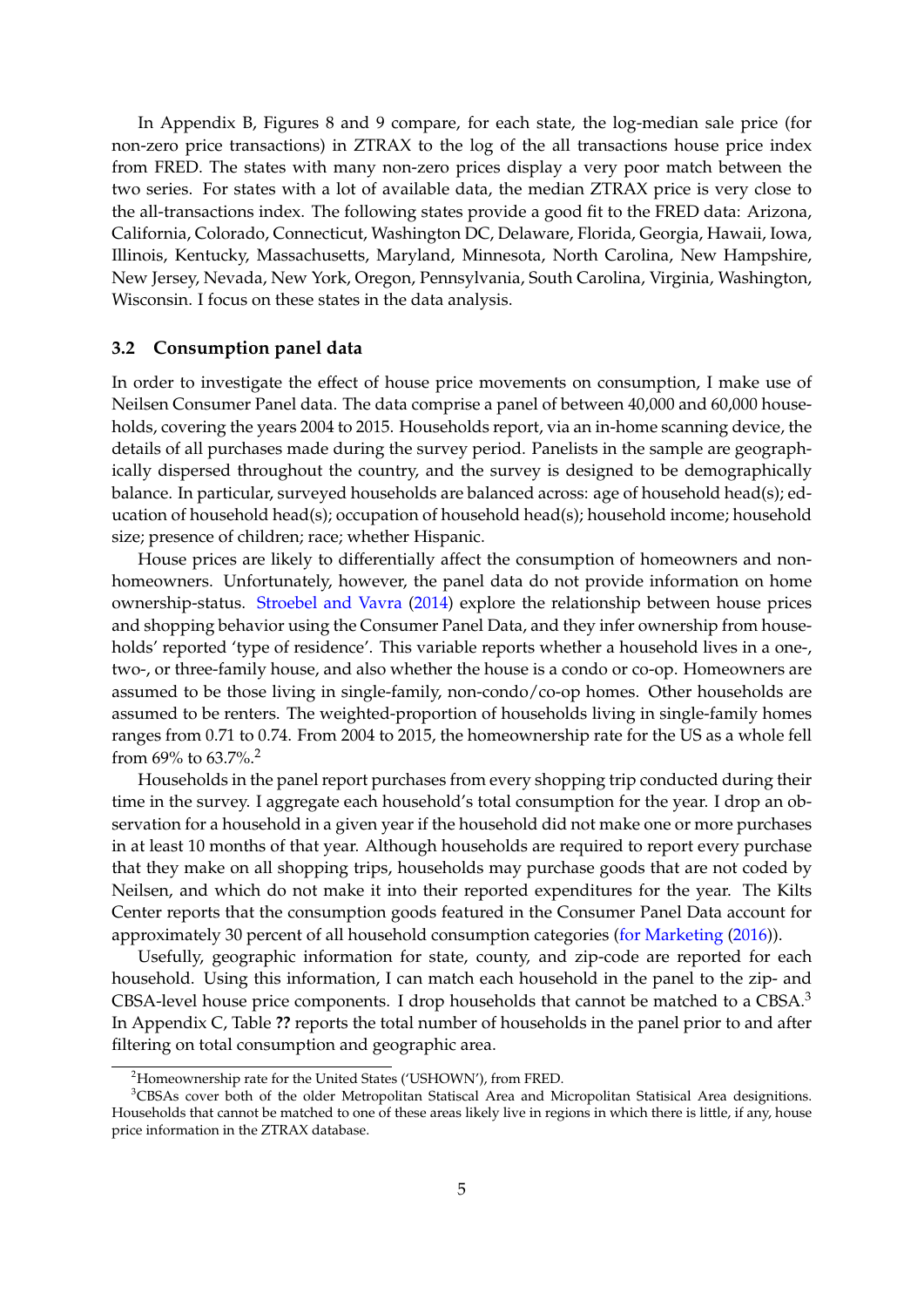In Appendix [B,](#page-26-0) Figures [8](#page-28-0) and [9](#page-29-0) compare, for each state, the log-median sale price (for non-zero price transactions) in ZTRAX to the log of the all transactions house price index from FRED. The states with many non-zero prices display a very poor match between the two series. For states with a lot of available data, the median ZTRAX price is very close to the all-transactions index. The following states provide a good fit to the FRED data: Arizona, California, Colorado, Connecticut, Washington DC, Delaware, Florida, Georgia, Hawaii, Iowa, Illinois, Kentucky, Massachusetts, Maryland, Minnesota, North Carolina, New Hampshire, New Jersey, Nevada, New York, Oregon, Pennsylvania, South Carolina, Virginia, Washington, Wisconsin. I focus on these states in the data analysis.

## **3.2 Consumption panel data**

In order to investigate the effect of house price movements on consumption, I make use of Neilsen Consumer Panel data. The data comprise a panel of between 40,000 and 60,000 households, covering the years 2004 to 2015. Households report, via an in-home scanning device, the details of all purchases made during the survey period. Panelists in the sample are geographically dispersed throughout the country, and the survey is designed to be demographically balance. In particular, surveyed households are balanced across: age of household head(s); education of household head(s); occupation of household head(s); household income; household size; presence of children; race; whether Hispanic.

House prices are likely to differentially affect the consumption of homeowners and nonhomeowners. Unfortunately, however, the panel data do not provide information on home ownership-status. [Stroebel and Vavra](#page-33-5) [\(2014\)](#page-33-5) explore the relationship between house prices and shopping behavior using the Consumer Panel Data, and they infer ownership from households' reported 'type of residence'. This variable reports whether a household lives in a one-, two-, or three-family house, and also whether the house is a condo or co-op. Homeowners are assumed to be those living in single-family, non-condo/co-op homes. Other households are assumed to be renters. The weighted-proportion of households living in single-family homes ranges from 0.71 to 0.74. From 2004 to 2015, the homeownership rate for the US as a whole fell from 69% to 63.7%.<sup>[2](#page-5-0)</sup>

Households in the panel report purchases from every shopping trip conducted during their time in the survey. I aggregate each household's total consumption for the year. I drop an observation for a household in a given year if the household did not make one or more purchases in at least 10 months of that year. Although households are required to report every purchase that they make on all shopping trips, households may purchase goods that are not coded by Neilsen, and which do not make it into their reported expenditures for the year. The Kilts Center reports that the consumption goods featured in the Consumer Panel Data account for approximately 30 percent of all household consumption categories [\(for Marketing](#page-32-11) [\(2016\)](#page-32-11)).

Usefully, geographic information for state, county, and zip-code are reported for each household. Using this information, I can match each household in the panel to the zip- and CBSA-level house price components. I drop households that cannot be matched to a CBSA.<sup>[3](#page-5-1)</sup> In Appendix [C,](#page-30-0) Table **[??](#page-30-1)** reports the total number of households in the panel prior to and after filtering on total consumption and geographic area.

<span id="page-5-1"></span><span id="page-5-0"></span><sup>&</sup>lt;sup>2</sup>Homeownership rate for the United States ('USHOWN'), from FRED.

<sup>&</sup>lt;sup>3</sup>CBSAs cover both of the older Metropolitan Statiscal Area and Micropolitan Statisical Area designitions. Households that cannot be matched to one of these areas likely live in regions in which there is little, if any, house price information in the ZTRAX database.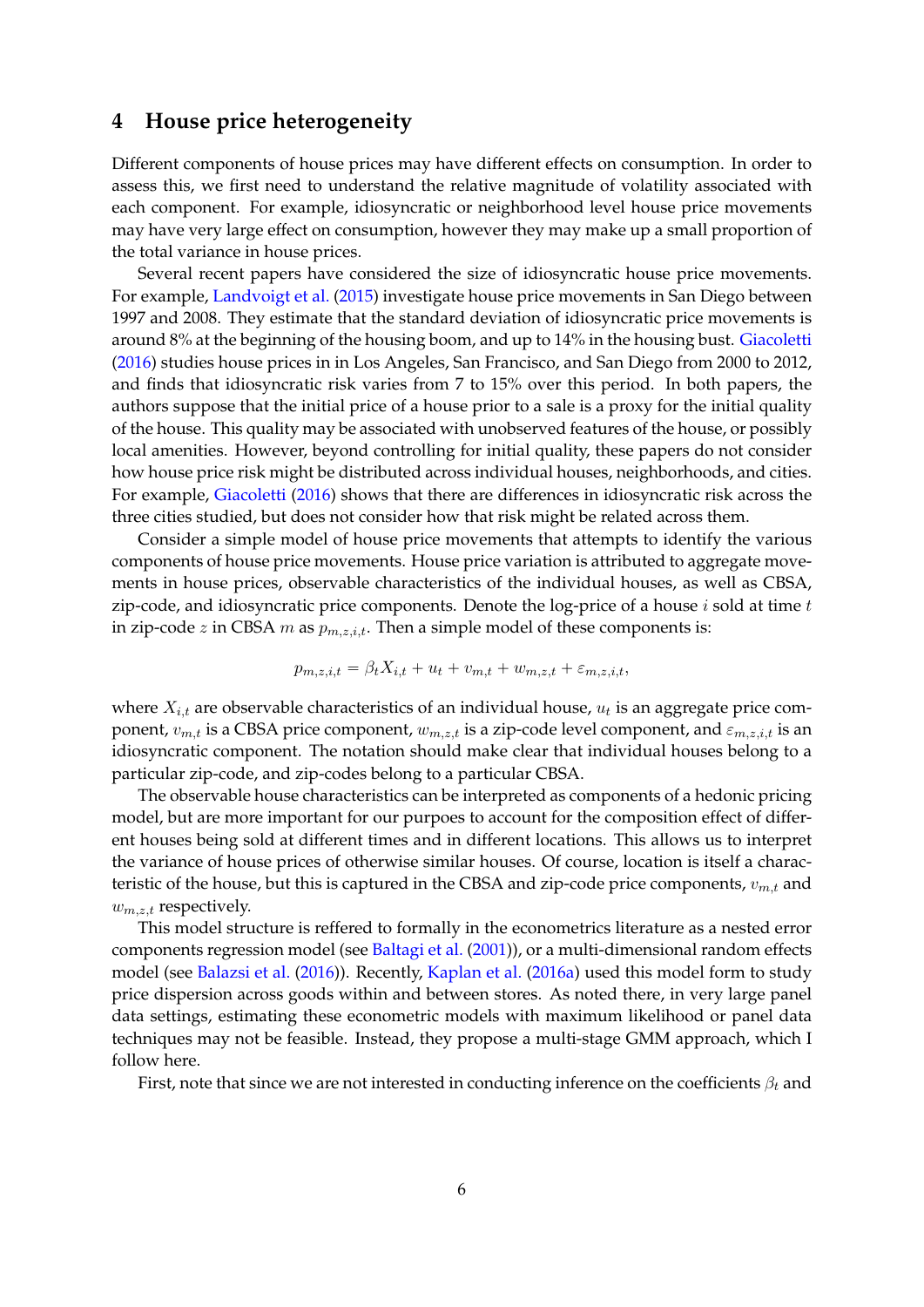# <span id="page-6-0"></span>**4 House price heterogeneity**

Different components of house prices may have different effects on consumption. In order to assess this, we first need to understand the relative magnitude of volatility associated with each component. For example, idiosyncratic or neighborhood level house price movements may have very large effect on consumption, however they may make up a small proportion of the total variance in house prices.

Several recent papers have considered the size of idiosyncratic house price movements. For example, [Landvoigt et al.](#page-33-2) [\(2015\)](#page-33-2) investigate house price movements in San Diego between 1997 and 2008. They estimate that the standard deviation of idiosyncratic price movements is around 8% at the beginning of the housing boom, and up to 14% in the housing bust. [Giacoletti](#page-32-5) [\(2016\)](#page-32-5) studies house prices in in Los Angeles, San Francisco, and San Diego from 2000 to 2012, and finds that idiosyncratic risk varies from 7 to 15% over this period. In both papers, the authors suppose that the initial price of a house prior to a sale is a proxy for the initial quality of the house. This quality may be associated with unobserved features of the house, or possibly local amenities. However, beyond controlling for initial quality, these papers do not consider how house price risk might be distributed across individual houses, neighborhoods, and cities. For example, [Giacoletti](#page-32-5) [\(2016\)](#page-32-5) shows that there are differences in idiosyncratic risk across the three cities studied, but does not consider how that risk might be related across them.

Consider a simple model of house price movements that attempts to identify the various components of house price movements. House price variation is attributed to aggregate movements in house prices, observable characteristics of the individual houses, as well as CBSA, zip-code, and idiosyncratic price components. Denote the log-price of a house *i* sold at time *t* in zip-code *z* in CBSA *m* as *pm,z,i,t*. Then a simple model of these components is:

$$
p_{m,z,i,t} = \beta_t X_{i,t} + u_t + v_{m,t} + w_{m,z,t} + \varepsilon_{m,z,i,t},
$$

where *Xi,t* are observable characteristics of an individual house, *u<sup>t</sup>* is an aggregate price component,  $v_{m,t}$  is a CBSA price component,  $w_{m,z,t}$  is a zip-code level component, and  $\varepsilon_{m,z,i,t}$  is an idiosyncratic component. The notation should make clear that individual houses belong to a particular zip-code, and zip-codes belong to a particular CBSA.

The observable house characteristics can be interpreted as components of a hedonic pricing model, but are more important for our purpoes to account for the composition effect of different houses being sold at different times and in different locations. This allows us to interpret the variance of house prices of otherwise similar houses. Of course, location is itself a characteristic of the house, but this is captured in the CBSA and zip-code price components, *vm,t* and *wm,z,t* respectively.

This model structure is reffered to formally in the econometrics literature as a nested error components regression model (see [Baltagi et al.](#page-32-12) [\(2001\)](#page-32-12)), or a multi-dimensional random effects model (see [Balazsi et al.](#page-32-13) [\(2016\)](#page-32-13)). Recently, [Kaplan et al.](#page-33-6) [\(2016a\)](#page-33-6) used this model form to study price dispersion across goods within and between stores. As noted there, in very large panel data settings, estimating these econometric models with maximum likelihood or panel data techniques may not be feasible. Instead, they propose a multi-stage GMM approach, which I follow here.

First, note that since we are not interested in conducting inference on the coefficients *β<sup>t</sup>* and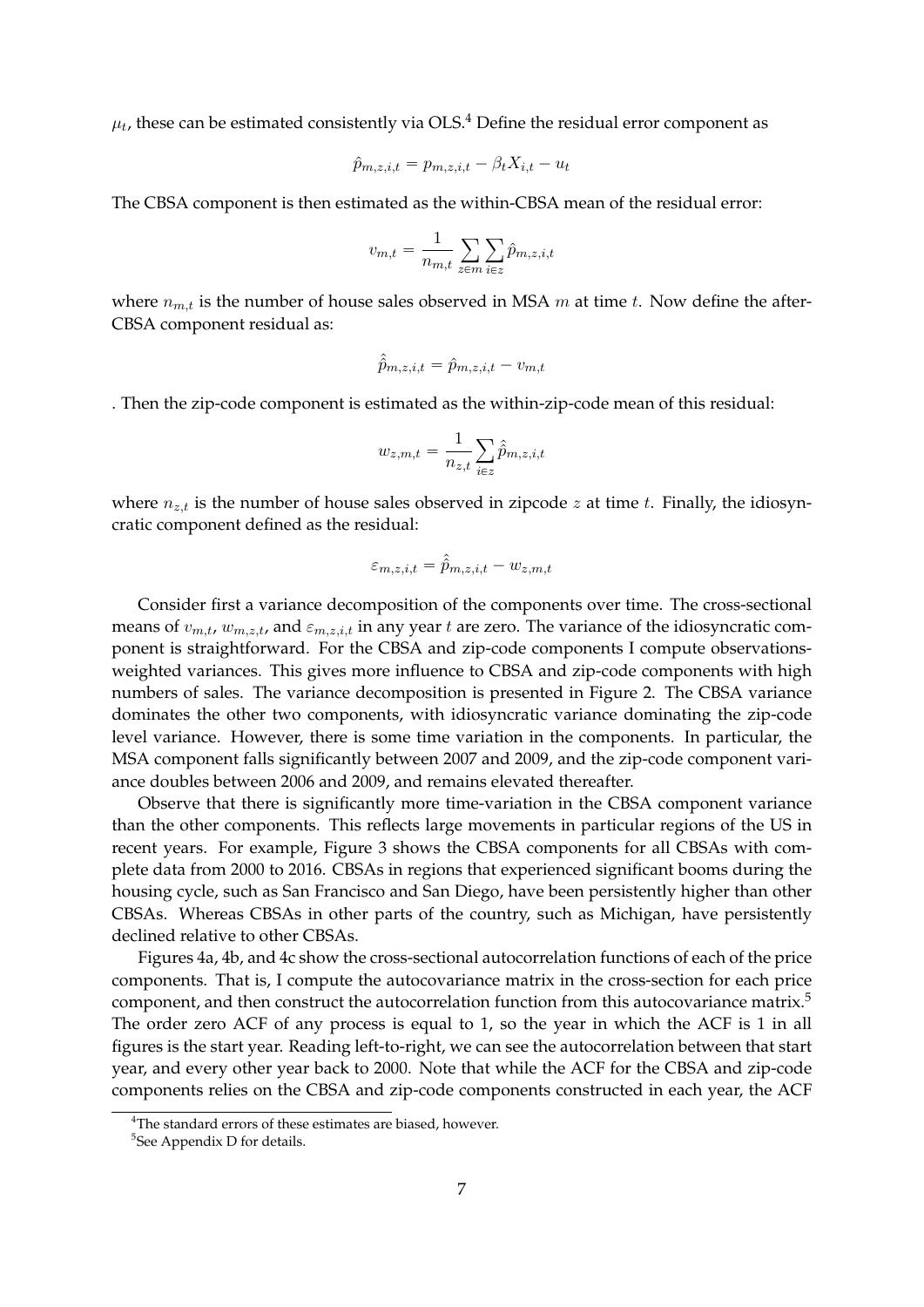$\mu_t$ , these can be estimated consistently via OLS. $^4$  $^4$  Define the residual error component as

$$
\hat{p}_{m,z,i,t} = p_{m,z,i,t} - \beta_t X_{i,t} - u_t
$$

The CBSA component is then estimated as the within-CBSA mean of the residual error:

$$
v_{m,t} = \frac{1}{n_{m,t}} \sum_{z \in m} \sum_{i \in z} \hat{p}_{m,z,i,t}
$$

where  $n_{m,t}$  is the number of house sales observed in MSA  $m$  at time  $t$ . Now define the after-CBSA component residual as:

$$
\hat{\hat{p}}_{m,z,i,t} = \hat{p}_{m,z,i,t} - v_{m,t}
$$

. Then the zip-code component is estimated as the within-zip-code mean of this residual:

$$
w_{z,m,t} = \frac{1}{n_{z,t}} \sum_{i \in z} \hat{p}_{m,z,i,t}
$$

where  $n_{z,t}$  is the number of house sales observed in zipcode  $z$  at time  $t$ . Finally, the idiosyncratic component defined as the residual:

$$
\varepsilon_{m,z,i,t} = \hat{\hat{p}}_{m,z,i,t} - w_{z,m,t}
$$

Consider first a variance decomposition of the components over time. The cross-sectional means of  $v_{m,t}$ ,  $w_{m,z,t}$ , and  $\varepsilon_{m,z,i,t}$  in any year *t* are zero. The variance of the idiosyncratic component is straightforward. For the CBSA and zip-code components I compute observationsweighted variances. This gives more influence to CBSA and zip-code components with high numbers of sales. The variance decomposition is presented in Figure [2.](#page-8-0) The CBSA variance dominates the other two components, with idiosyncratic variance dominating the zip-code level variance. However, there is some time variation in the components. In particular, the MSA component falls significantly between 2007 and 2009, and the zip-code component variance doubles between 2006 and 2009, and remains elevated thereafter.

Observe that there is significantly more time-variation in the CBSA component variance than the other components. This reflects large movements in particular regions of the US in recent years. For example, Figure [3](#page-8-1) shows the CBSA components for all CBSAs with complete data from 2000 to 2016. CBSAs in regions that experienced significant booms during the housing cycle, such as San Francisco and San Diego, have been persistently higher than other CBSAs. Whereas CBSAs in other parts of the country, such as Michigan, have persistently declined relative to other CBSAs.

Figures [4a,](#page-10-0) [4b,](#page-10-0) and [4c](#page-10-0) show the cross-sectional autocorrelation functions of each of the price components. That is, I compute the autocovariance matrix in the cross-section for each price component, and then construct the autocorrelation function from this autocovariance matrix.<sup>[5](#page-7-1)</sup> The order zero ACF of any process is equal to 1, so the year in which the ACF is 1 in all figures is the start year. Reading left-to-right, we can see the autocorrelation between that start year, and every other year back to 2000. Note that while the ACF for the CBSA and zip-code components relies on the CBSA and zip-code components constructed in each year, the ACF

<span id="page-7-0"></span> ${}^{4}$ The standard errors of these estimates are biased, however.

<span id="page-7-1"></span><sup>5</sup> See Appendix [D](#page-30-2) for details.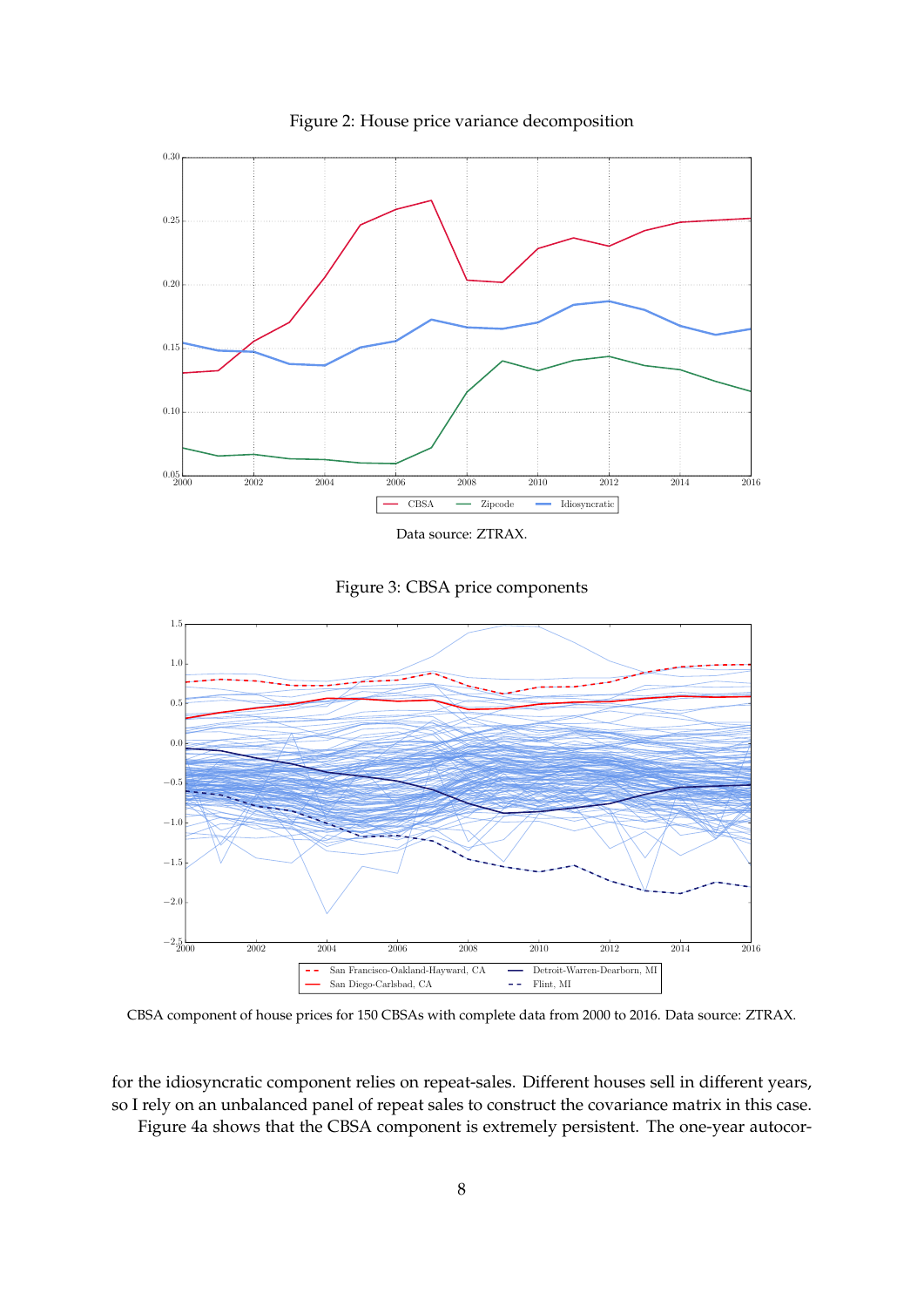<span id="page-8-0"></span>

Figure 2: House price variance decomposition

Data source: ZTRAX.

Figure 3: CBSA price components

<span id="page-8-1"></span>

CBSA component of house prices for 150 CBSAs with complete data from 2000 to 2016. Data source: ZTRAX.

for the idiosyncratic component relies on repeat-sales. Different houses sell in different years, so I rely on an unbalanced panel of repeat sales to construct the covariance matrix in this case. Figure [4a](#page-10-0) shows that the CBSA component is extremely persistent. The one-year autocor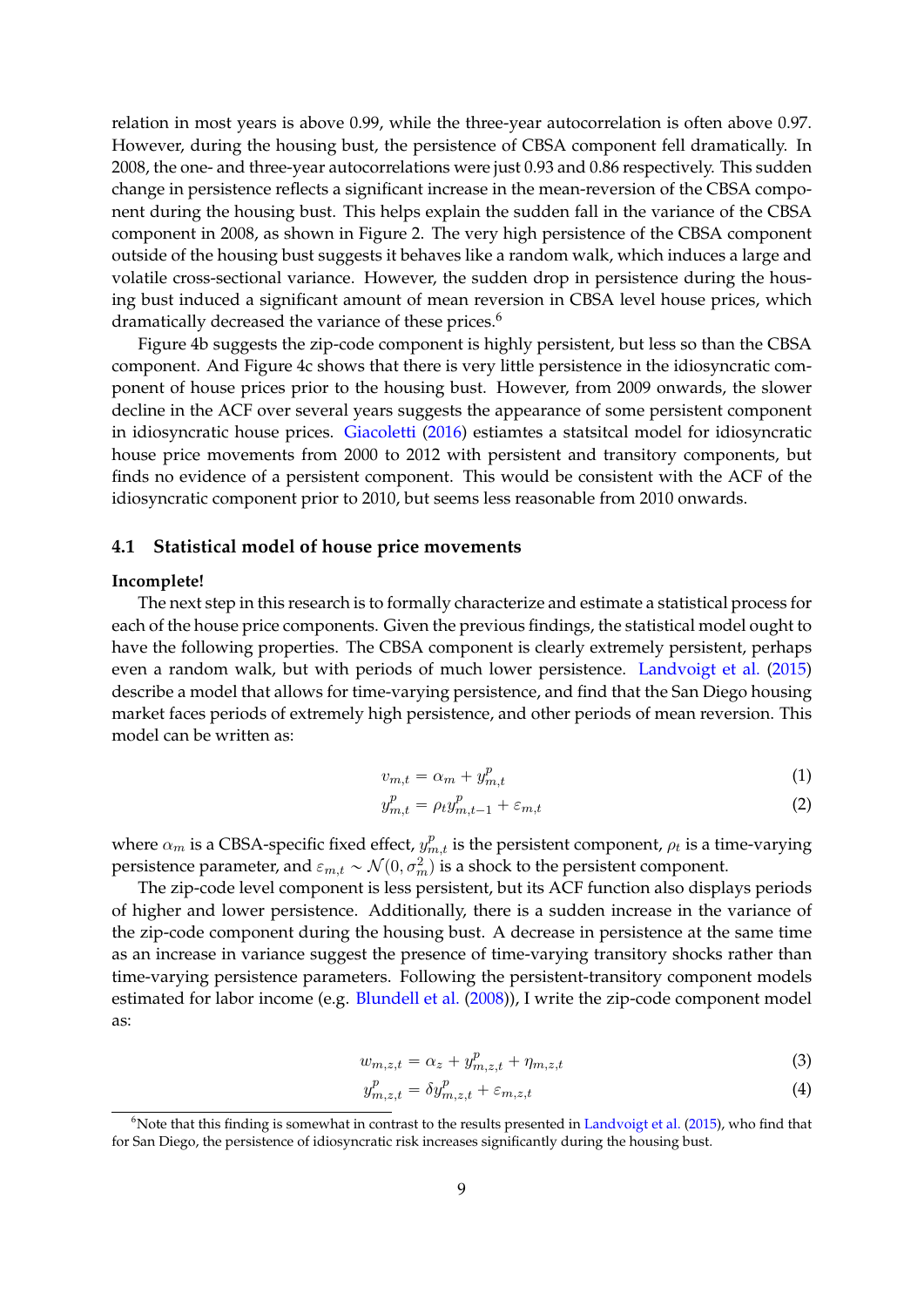relation in most years is above 0.99, while the three-year autocorrelation is often above 0.97. However, during the housing bust, the persistence of CBSA component fell dramatically. In 2008, the one- and three-year autocorrelations were just 0.93 and 0.86 respectively. This sudden change in persistence reflects a significant increase in the mean-reversion of the CBSA component during the housing bust. This helps explain the sudden fall in the variance of the CBSA component in 2008, as shown in Figure [2.](#page-8-0) The very high persistence of the CBSA component outside of the housing bust suggests it behaves like a random walk, which induces a large and volatile cross-sectional variance. However, the sudden drop in persistence during the housing bust induced a significant amount of mean reversion in CBSA level house prices, which dramatically decreased the variance of these prices.<sup>[6](#page-9-0)</sup>

Figure [4b](#page-10-0) suggests the zip-code component is highly persistent, but less so than the CBSA component. And Figure [4c](#page-10-0) shows that there is very little persistence in the idiosyncratic component of house prices prior to the housing bust. However, from 2009 onwards, the slower decline in the ACF over several years suggests the appearance of some persistent component in idiosyncratic house prices. [Giacoletti](#page-32-5) [\(2016\)](#page-32-5) estiamtes a statsitcal model for idiosyncratic house price movements from 2000 to 2012 with persistent and transitory components, but finds no evidence of a persistent component. This would be consistent with the ACF of the idiosyncratic component prior to 2010, but seems less reasonable from 2010 onwards.

## **4.1 Statistical model of house price movements**

#### **Incomplete!**

The next step in this research is to formally characterize and estimate a statistical process for each of the house price components. Given the previous findings, the statistical model ought to have the following properties. The CBSA component is clearly extremely persistent, perhaps even a random walk, but with periods of much lower persistence. [Landvoigt et al.](#page-33-2) [\(2015\)](#page-33-2) describe a model that allows for time-varying persistence, and find that the San Diego housing market faces periods of extremely high persistence, and other periods of mean reversion. This model can be written as:

$$
v_{m,t} = \alpha_m + y_{m,t}^p \tag{1}
$$

$$
y_{m,t}^p = \rho_t y_{m,t-1}^p + \varepsilon_{m,t} \tag{2}
$$

where  $\alpha_m$  is a CBSA-specific fixed effect,  $y_{m,t}^p$  is the persistent component,  $\rho_t$  is a time-varying persistence parameter, and  $\varepsilon_{m,t}\sim\mathcal{N}(0,\sigma_m^2)$  is a shock to the persistent component.

The zip-code level component is less persistent, but its ACF function also displays periods of higher and lower persistence. Additionally, there is a sudden increase in the variance of the zip-code component during the housing bust. A decrease in persistence at the same time as an increase in variance suggest the presence of time-varying transitory shocks rather than time-varying persistence parameters. Following the persistent-transitory component models estimated for labor income (e.g. [Blundell et al.](#page-32-14) [\(2008\)](#page-32-14)), I write the zip-code component model as:

$$
w_{m,z,t} = \alpha_z + y_{m,z,t}^p + \eta_{m,z,t} \tag{3}
$$

$$
y_{m,z,t}^p = \delta y_{m,z,t}^p + \varepsilon_{m,z,t} \tag{4}
$$

<span id="page-9-0"></span> $6N$ ote that this finding is somewhat in contrast to the results presented in [Landvoigt et al.](#page-33-2) [\(2015\)](#page-33-2), who find that for San Diego, the persistence of idiosyncratic risk increases significantly during the housing bust.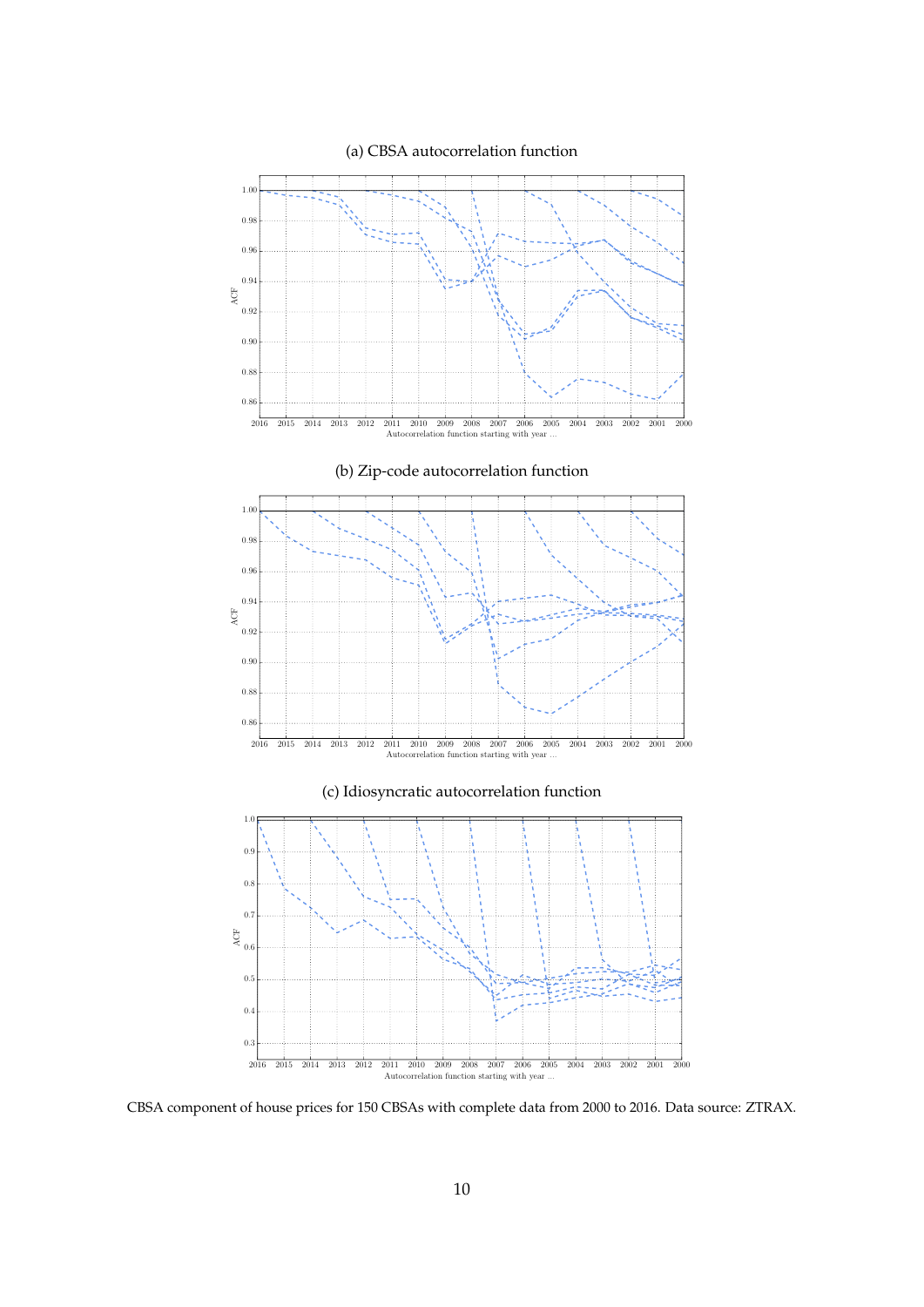<span id="page-10-0"></span>

CBSA component of house prices for 150 CBSAs with complete data from 2000 to 2016. Data source: ZTRAX.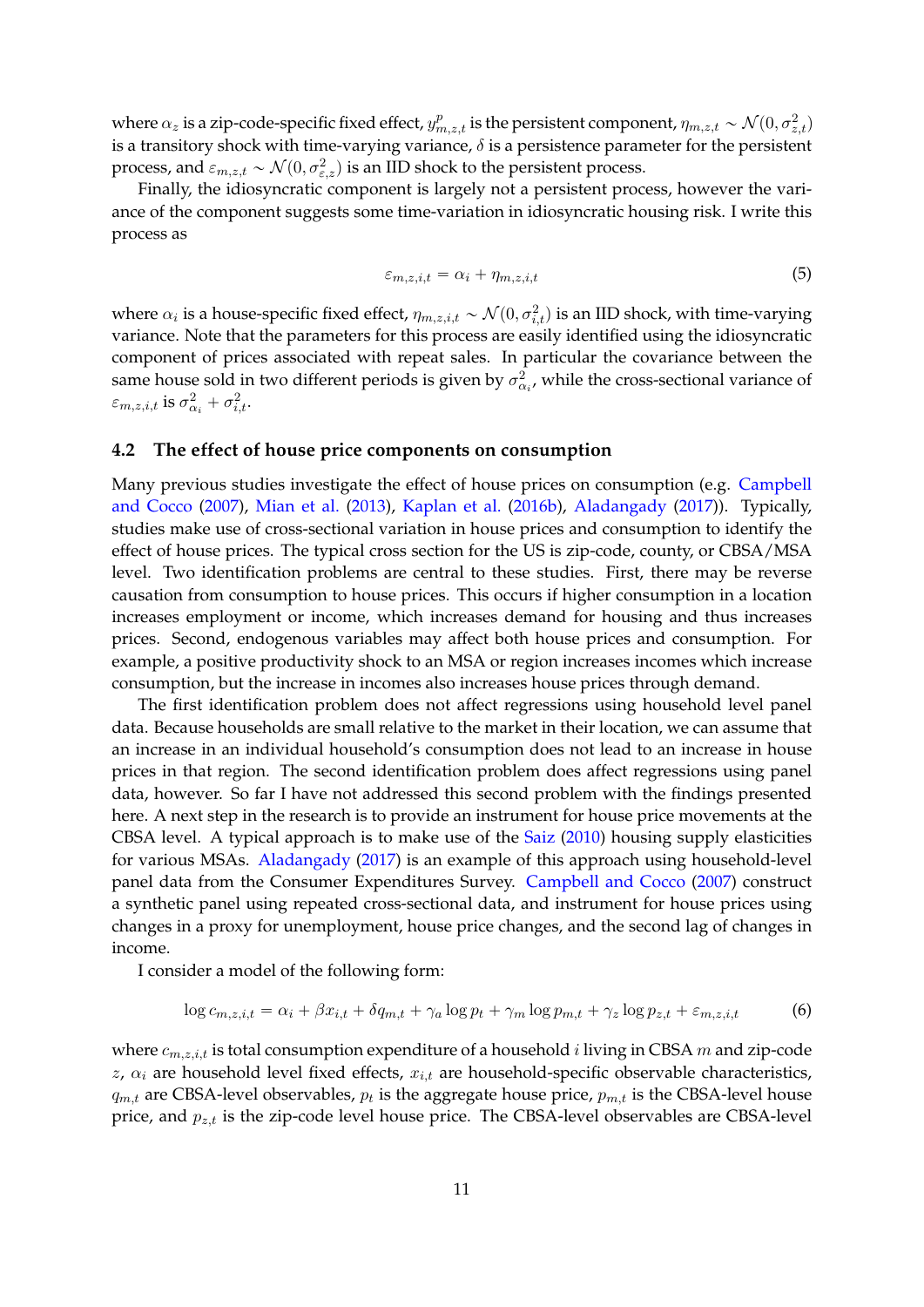where  $\alpha_z$  is a zip-code-specific fixed effect,  $y^p_{m,z,t}$  is the persistent component,  $\eta_{m,z,t} \sim \mathcal{N}(0,\sigma^2_{z,t})$ is a transitory shock with time-varying variance, *δ* is a persistence parameter for the persistent process, and  $\varepsilon_{m,z,t}\thicksim\mathcal{N}(0,\sigma_{\varepsilon,z}^2)$  is an IID shock to the persistent process.

Finally, the idiosyncratic component is largely not a persistent process, however the variance of the component suggests some time-variation in idiosyncratic housing risk. I write this process as

$$
\varepsilon_{m,z,i,t} = \alpha_i + \eta_{m,z,i,t} \tag{5}
$$

where  $\alpha_i$  is a house-specific fixed effect,  $\eta_{m,z,i,t} \sim \mathcal{N}(0, \sigma_{i,t}^2)$  is an IID shock, with time-varying variance. Note that the parameters for this process are easily identified using the idiosyncratic component of prices associated with repeat sales. In particular the covariance between the same house sold in two different periods is given by  $\sigma_{\alpha_i}^2$ , while the cross-sectional variance of *ε*<sub>*m,z,i,t*</sub> is  $σ_{\alpha_i}^2 + σ_{i,t}^2$ .

# **4.2 The effect of house price components on consumption**

Many previous studies investigate the effect of house prices on consumption (e.g. [Campbell](#page-32-0) [and Cocco](#page-32-0) [\(2007\)](#page-32-0), [Mian et al.](#page-33-0) [\(2013\)](#page-33-0), [Kaplan et al.](#page-33-1) [\(2016b\)](#page-33-1), [Aladangady](#page-32-1) [\(2017\)](#page-32-1)). Typically, studies make use of cross-sectional variation in house prices and consumption to identify the effect of house prices. The typical cross section for the US is zip-code, county, or CBSA/MSA level. Two identification problems are central to these studies. First, there may be reverse causation from consumption to house prices. This occurs if higher consumption in a location increases employment or income, which increases demand for housing and thus increases prices. Second, endogenous variables may affect both house prices and consumption. For example, a positive productivity shock to an MSA or region increases incomes which increase consumption, but the increase in incomes also increases house prices through demand.

The first identification problem does not affect regressions using household level panel data. Because households are small relative to the market in their location, we can assume that an increase in an individual household's consumption does not lead to an increase in house prices in that region. The second identification problem does affect regressions using panel data, however. So far I have not addressed this second problem with the findings presented here. A next step in the research is to provide an instrument for house price movements at the CBSA level. A typical approach is to make use of the [Saiz](#page-33-3) [\(2010\)](#page-33-3) housing supply elasticities for various MSAs. [Aladangady](#page-32-1) [\(2017\)](#page-32-1) is an example of this approach using household-level panel data from the Consumer Expenditures Survey. [Campbell and Cocco](#page-32-0) [\(2007\)](#page-32-0) construct a synthetic panel using repeated cross-sectional data, and instrument for house prices using changes in a proxy for unemployment, house price changes, and the second lag of changes in income.

I consider a model of the following form:

$$
\log c_{m,z,i,t} = \alpha_i + \beta x_{i,t} + \delta q_{m,t} + \gamma_a \log p_t + \gamma_m \log p_{m,t} + \gamma_z \log p_{z,t} + \varepsilon_{m,z,i,t} \tag{6}
$$

where *cm,z,i,t* is total consumption expenditure of a household *i* living in CBSA *m* and zip-code *z*, *α<sup>i</sup>* are household level fixed effects, *xi,t* are household-specific observable characteristics,  $q_{m,t}$  are CBSA-level observables,  $p_t$  is the aggregate house price,  $p_{m,t}$  is the CBSA-level house price, and *pz,t* is the zip-code level house price. The CBSA-level observables are CBSA-level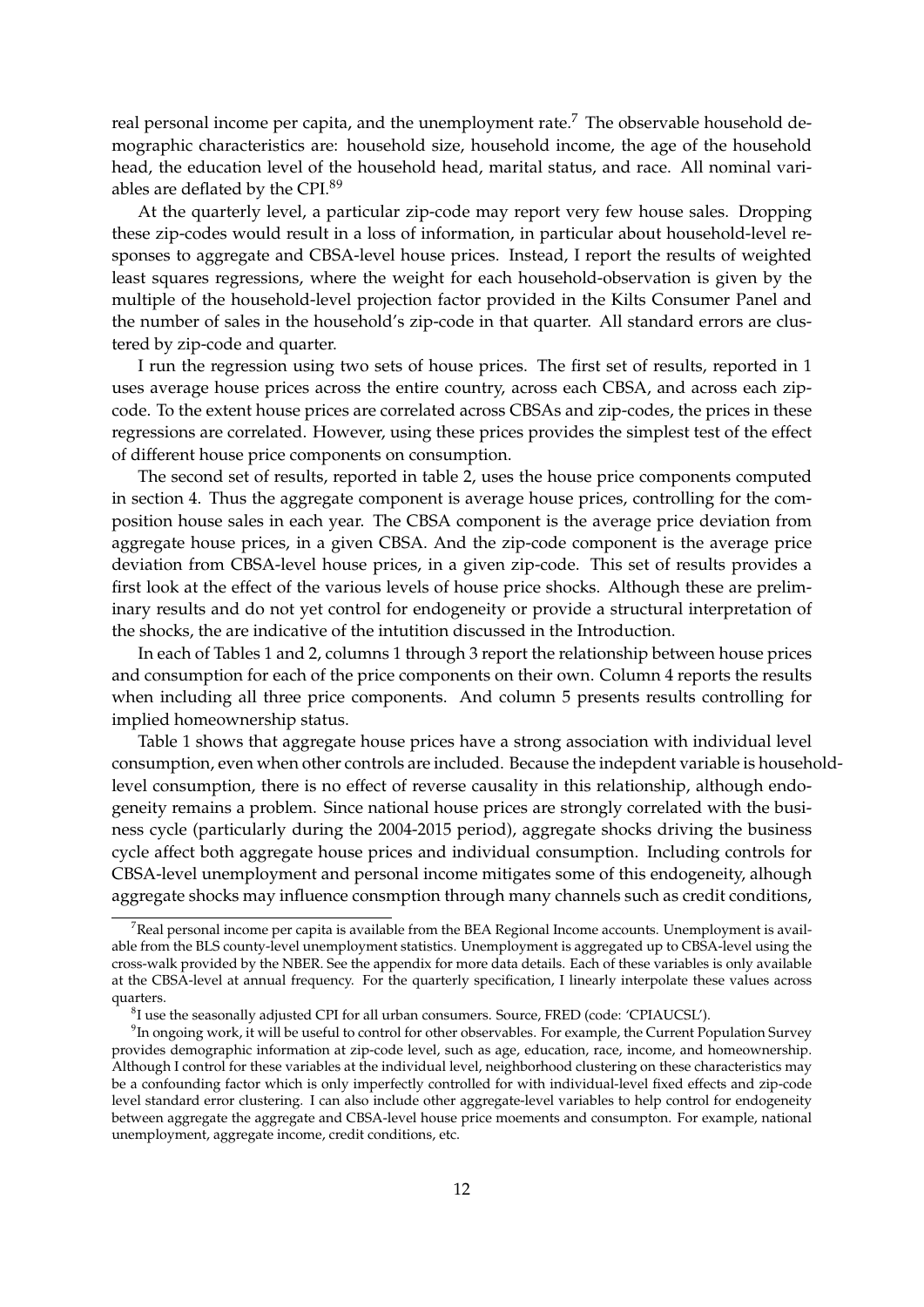real personal income per capita, and the unemployment rate.<sup>[7](#page-12-0)</sup> The observable household demographic characteristics are: household size, household income, the age of the household head, the education level of the household head, marital status, and race. All nominal variables are deflated by the CPI.[8](#page-12-1)[9](#page-12-2)

At the quarterly level, a particular zip-code may report very few house sales. Dropping these zip-codes would result in a loss of information, in particular about household-level responses to aggregate and CBSA-level house prices. Instead, I report the results of weighted least squares regressions, where the weight for each household-observation is given by the multiple of the household-level projection factor provided in the Kilts Consumer Panel and the number of sales in the household's zip-code in that quarter. All standard errors are clustered by zip-code and quarter.

I run the regression using two sets of house prices. The first set of results, reported in [1](#page-14-0) uses average house prices across the entire country, across each CBSA, and across each zipcode. To the extent house prices are correlated across CBSAs and zip-codes, the prices in these regressions are correlated. However, using these prices provides the simplest test of the effect of different house price components on consumption.

The second set of results, reported in table [2,](#page-15-0) uses the house price components computed in section [4.](#page-6-0) Thus the aggregate component is average house prices, controlling for the composition house sales in each year. The CBSA component is the average price deviation from aggregate house prices, in a given CBSA. And the zip-code component is the average price deviation from CBSA-level house prices, in a given zip-code. This set of results provides a first look at the effect of the various levels of house price shocks. Although these are preliminary results and do not yet control for endogeneity or provide a structural interpretation of the shocks, the are indicative of the intutition discussed in the Introduction.

In each of Tables [1](#page-14-0) and [2,](#page-15-0) columns 1 through 3 report the relationship between house prices and consumption for each of the price components on their own. Column 4 reports the results when including all three price components. And column 5 presents results controlling for implied homeownership status.

Table [1](#page-14-0) shows that aggregate house prices have a strong association with individual level consumption, even when other controls are included. Because the indepdent variable is householdlevel consumption, there is no effect of reverse causality in this relationship, although endogeneity remains a problem. Since national house prices are strongly correlated with the business cycle (particularly during the 2004-2015 period), aggregate shocks driving the business cycle affect both aggregate house prices and individual consumption. Including controls for CBSA-level unemployment and personal income mitigates some of this endogeneity, alhough aggregate shocks may influence consmption through many channels such as credit conditions,

<span id="page-12-0"></span> $7$ Real personal income per capita is available from the BEA Regional Income accounts. Unemployment is available from the BLS county-level unemployment statistics. Unemployment is aggregated up to CBSA-level using the cross-walk provided by the NBER. See the appendix for more data details. Each of these variables is only available at the CBSA-level at annual frequency. For the quarterly specification, I linearly interpolate these values across quarters.

<span id="page-12-2"></span><span id="page-12-1"></span> ${}^{8}$ I use the seasonally adjusted CPI for all urban consumers. Source, FRED (code: 'CPIAUCSL').

 $^9$ In ongoing work, it will be useful to control for other observables. For example, the Current Population Survey provides demographic information at zip-code level, such as age, education, race, income, and homeownership. Although I control for these variables at the individual level, neighborhood clustering on these characteristics may be a confounding factor which is only imperfectly controlled for with individual-level fixed effects and zip-code level standard error clustering. I can also include other aggregate-level variables to help control for endogeneity between aggregate the aggregate and CBSA-level house price moements and consumpton. For example, national unemployment, aggregate income, credit conditions, etc.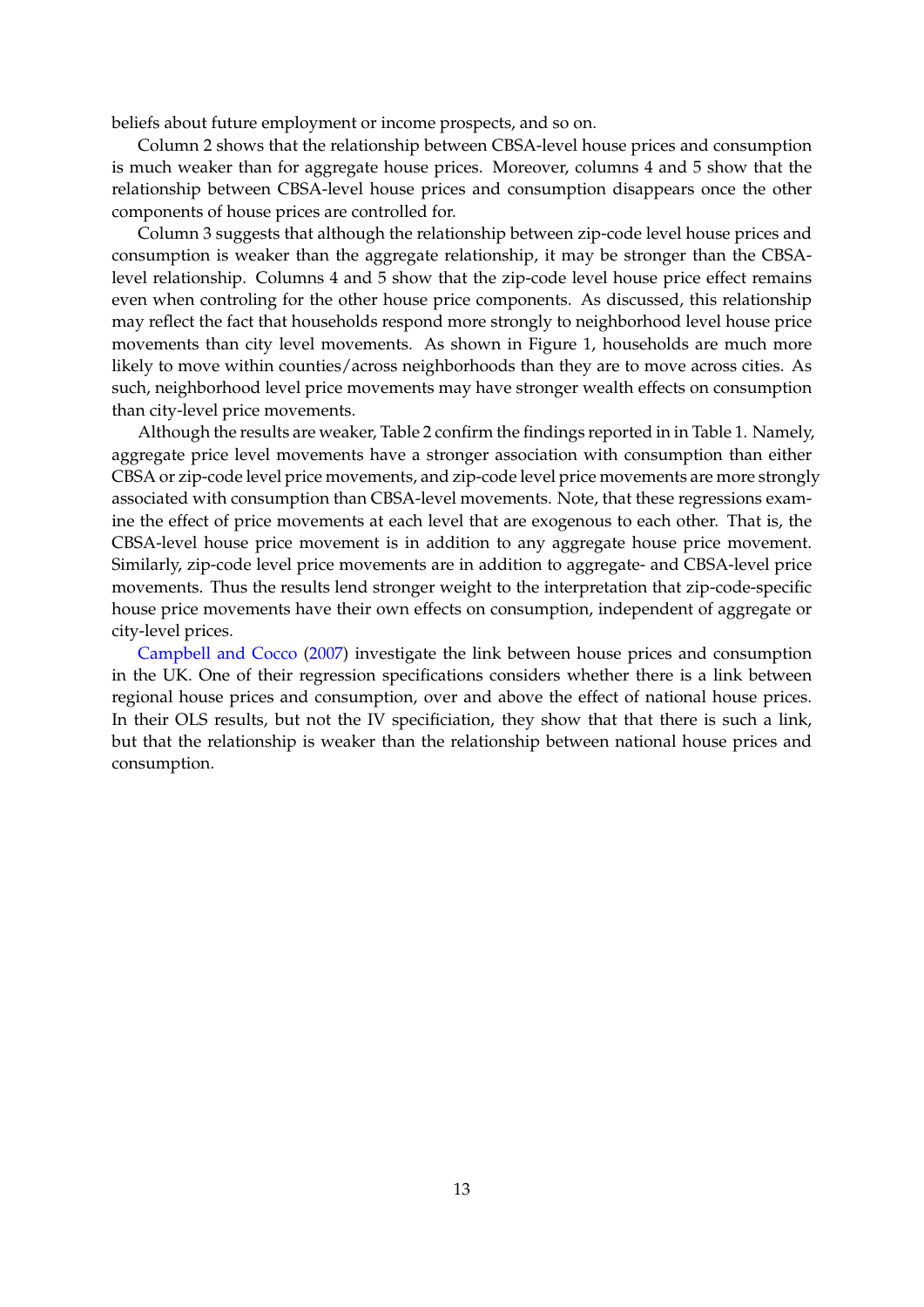beliefs about future employment or income prospects, and so on.

Column 2 shows that the relationship between CBSA-level house prices and consumption is much weaker than for aggregate house prices. Moreover, columns 4 and 5 show that the relationship between CBSA-level house prices and consumption disappears once the other components of house prices are controlled for.

Column 3 suggests that although the relationship between zip-code level house prices and consumption is weaker than the aggregate relationship, it may be stronger than the CBSAlevel relationship. Columns 4 and 5 show that the zip-code level house price effect remains even when controling for the other house price components. As discussed, this relationship may reflect the fact that households respond more strongly to neighborhood level house price movements than city level movements. As shown in Figure [1,](#page-2-0) households are much more likely to move within counties/across neighborhoods than they are to move across cities. As such, neighborhood level price movements may have stronger wealth effects on consumption than city-level price movements.

Although the results are weaker, Table [2](#page-15-0) confirm the findings reported in in Table [1.](#page-14-0) Namely, aggregate price level movements have a stronger association with consumption than either CBSA or zip-code level price movements, and zip-code level price movements are more strongly associated with consumption than CBSA-level movements. Note, that these regressions examine the effect of price movements at each level that are exogenous to each other. That is, the CBSA-level house price movement is in addition to any aggregate house price movement. Similarly, zip-code level price movements are in addition to aggregate- and CBSA-level price movements. Thus the results lend stronger weight to the interpretation that zip-code-specific house price movements have their own effects on consumption, independent of aggregate or city-level prices.

[Campbell and Cocco](#page-32-0) [\(2007\)](#page-32-0) investigate the link between house prices and consumption in the UK. One of their regression specifications considers whether there is a link between regional house prices and consumption, over and above the effect of national house prices. In their OLS results, but not the IV specificiation, they show that that there is such a link, but that the relationship is weaker than the relationship between national house prices and consumption.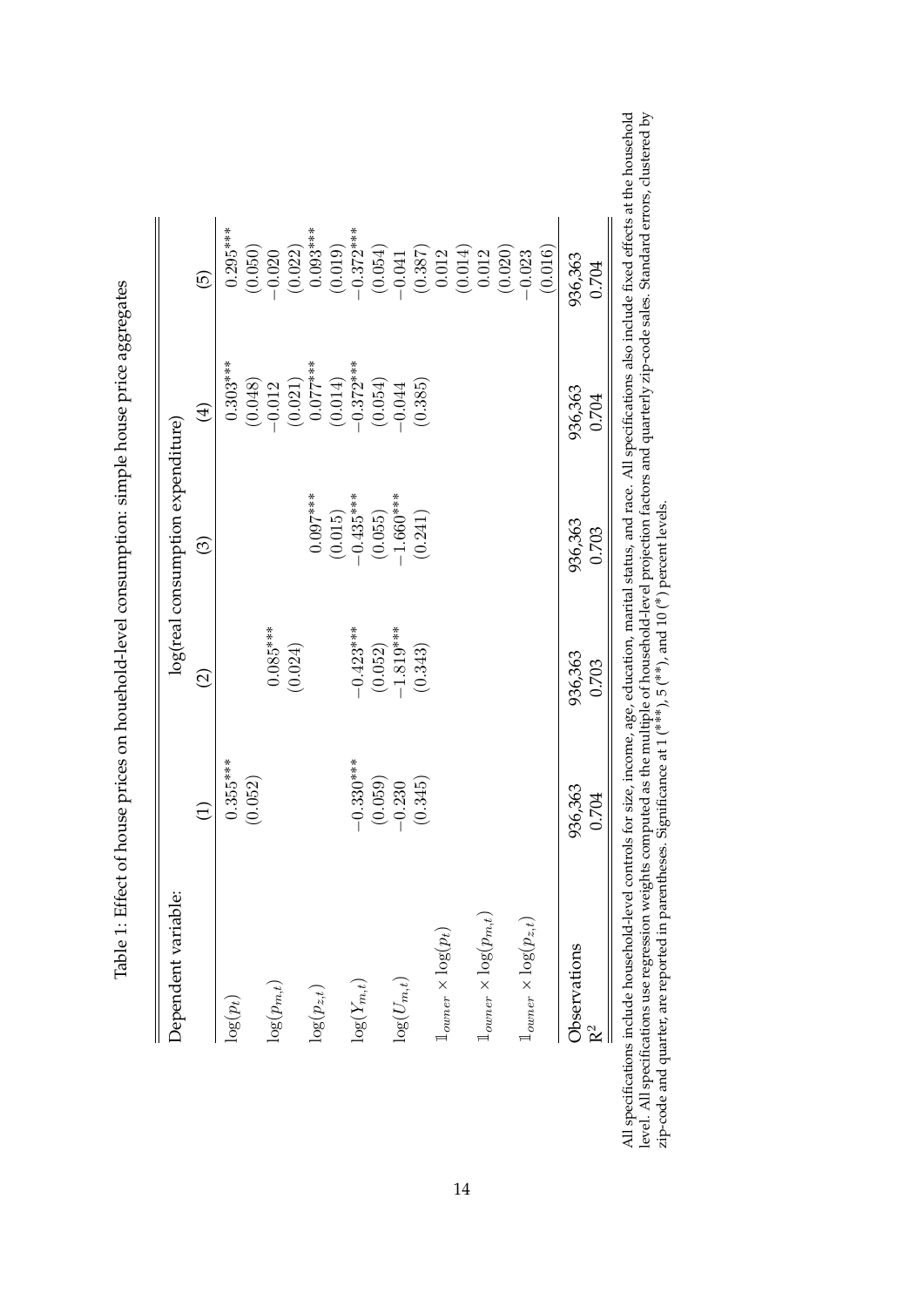| Fall of Hatta and home as home contracted and a lower circuit and a bound a contracted on the contracted of the H<br>ו<br>ג)<br>ג) |
|------------------------------------------------------------------------------------------------------------------------------------|
| ł                                                                                                                                  |
| -----------------                                                                                                                  |
| l<br>-<br>}<br>}                                                                                                                   |
| l<br>$\overline{1}$                                                                                                                |
| י יש בי בי                                                                                                                         |
|                                                                                                                                    |
|                                                                                                                                    |
|                                                                                                                                    |
|                                                                                                                                    |
|                                                                                                                                    |
| $\frac{1}{2}$                                                                                                                      |
|                                                                                                                                    |
|                                                                                                                                    |
|                                                                                                                                    |
|                                                                                                                                    |

| Dependent variable:                     |             |                          | log(real consumption expenditure) |                                                                            |                                                                             |
|-----------------------------------------|-------------|--------------------------|-----------------------------------|----------------------------------------------------------------------------|-----------------------------------------------------------------------------|
|                                         | $\ominus$   | $\widehat{\vartriangle}$ | ල                                 | $\bigoplus$                                                                | $\widehat{\Theta}$                                                          |
| $\log(p_t)$                             | $0.355***$  |                          |                                   | $0.303***$                                                                 | $0.295***$                                                                  |
|                                         | (0.052)     |                          |                                   |                                                                            | (0.050)                                                                     |
| $\log(p_{m,t})$                         |             | $0.085***$               |                                   |                                                                            |                                                                             |
|                                         |             | (0.024)                  |                                   | $\begin{array}{c} (0.048) \\ -0.012 \\ (0.021) \\ 0.077^{***} \end{array}$ | $-0.020$<br>(0.022)                                                         |
| $\log(p_{z,t})$                         |             |                          | $0.097***$                        |                                                                            | $0.093***$                                                                  |
|                                         |             |                          | (0.015)                           |                                                                            |                                                                             |
| $\log(Y_{m,t})$                         | $-0.330***$ | $-0.423***$              | $-0.435***$                       | $(0.014)$<br>-0.372***                                                     |                                                                             |
|                                         | (0.059)     | (0.052)                  | (0.055)                           | (0.054)                                                                    | $\begin{array}{c} (0.019) \\ -0.372^{***} \\ (0.054) \\ -0.041 \end{array}$ |
| $\log (U_{m,t})$                        | $-0.230$    | $-1.819***$              | $-1.660***$                       | $-0.044$                                                                   |                                                                             |
|                                         | (0.345)     | (0.343)                  | (0.241)                           | (0.385)                                                                    |                                                                             |
| $1_{\text{outer}} \times \log(p_t)$     |             |                          |                                   |                                                                            |                                                                             |
|                                         |             |                          |                                   |                                                                            | $\begin{array}{c} (0.387) \\ 0.012 \\ (0.014) \\ 0.014) \end{array}$        |
| $1_{\text{owner}} \times \log(p_{m,t})$ |             |                          |                                   |                                                                            |                                                                             |
|                                         |             |                          |                                   |                                                                            | (0.020)                                                                     |
| $1_{\text{outer}} \times \log(p_{z,t})$ |             |                          |                                   |                                                                            | $-0.023$                                                                    |
|                                         |             |                          |                                   |                                                                            | (0.016)                                                                     |
| Observations                            | 936,363     | 936,363                  | 936,363                           | 936,363                                                                    | 936,363                                                                     |
| R <sup>2</sup>                          | 0.704       | 0.703                    | 0.703                             | 0.704                                                                      | 0.704                                                                       |

<span id="page-14-0"></span>All specifications include household-level controls for size, income, age, education, marital status, and race. All specifications also include fixed effects at the household level. All specifications use regression weigh All specifications include household-level controls for size, income, age, education, marital status, and race. All specifications also include fixed effects at the household level. All specifications use regression weights computed as the multiple of household-level projection factors and quarterly zip-code sales. Standard errors, clustered by ˚) percent levels. zip-code and quarter, are reported in parentheses. Significance at 1 ( $***$ ), 5 ( $*$ ), and 10 ( $*$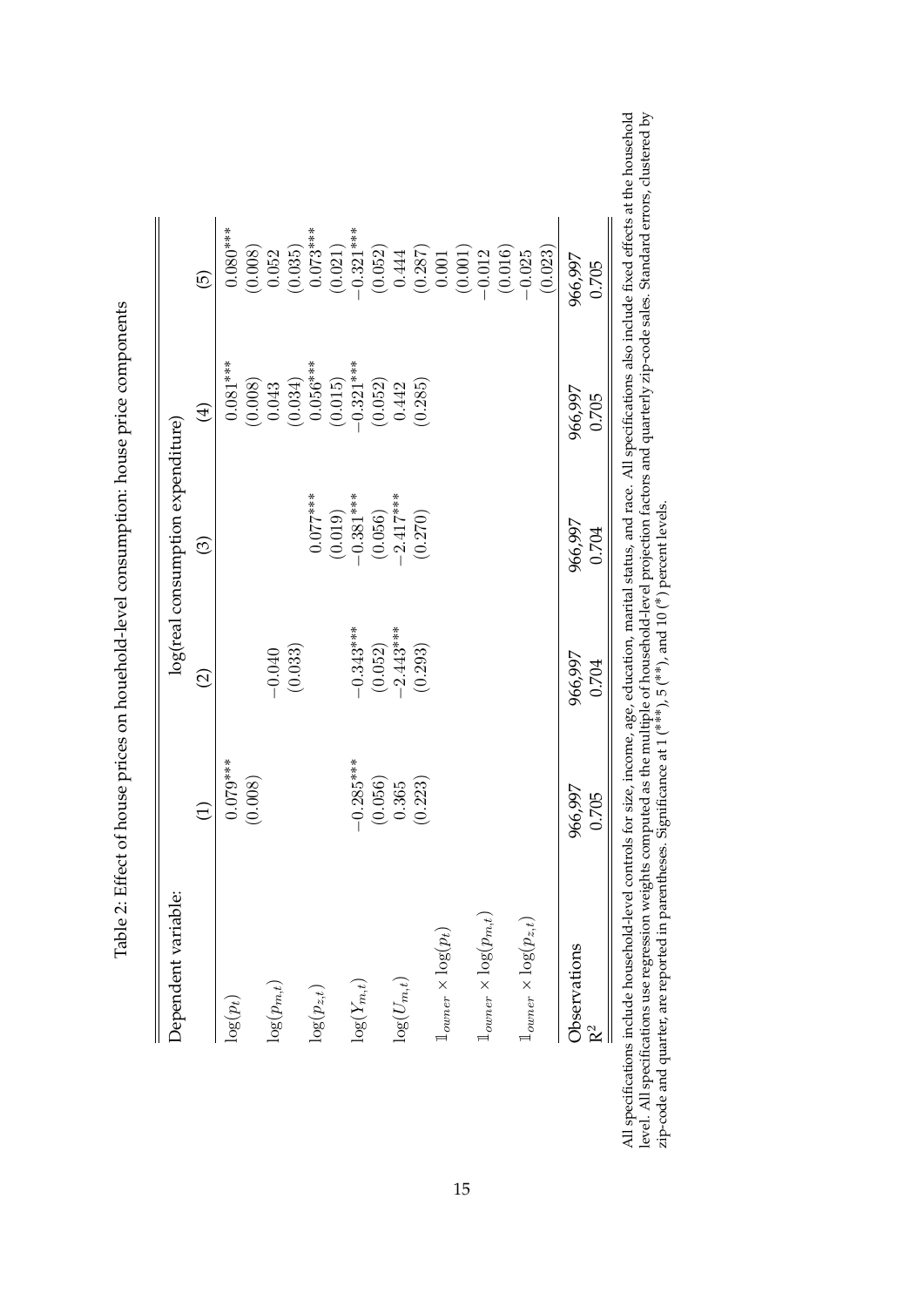| こうこうしょ                                                                                                                                                                                                                                           |
|--------------------------------------------------------------------------------------------------------------------------------------------------------------------------------------------------------------------------------------------------|
|                                                                                                                                                                                                                                                  |
|                                                                                                                                                                                                                                                  |
|                                                                                                                                                                                                                                                  |
|                                                                                                                                                                                                                                                  |
|                                                                                                                                                                                                                                                  |
|                                                                                                                                                                                                                                                  |
|                                                                                                                                                                                                                                                  |
|                                                                                                                                                                                                                                                  |
|                                                                                                                                                                                                                                                  |
|                                                                                                                                                                                                                                                  |
|                                                                                                                                                                                                                                                  |
|                                                                                                                                                                                                                                                  |
|                                                                                                                                                                                                                                                  |
|                                                                                                                                                                                                                                                  |
|                                                                                                                                                                                                                                                  |
|                                                                                                                                                                                                                                                  |
|                                                                                                                                                                                                                                                  |
|                                                                                                                                                                                                                                                  |
|                                                                                                                                                                                                                                                  |
|                                                                                                                                                                                                                                                  |
|                                                                                                                                                                                                                                                  |
| יבשובבים שבו בש                                                                                                                                                                                                                                  |
|                                                                                                                                                                                                                                                  |
|                                                                                                                                                                                                                                                  |
|                                                                                                                                                                                                                                                  |
|                                                                                                                                                                                                                                                  |
|                                                                                                                                                                                                                                                  |
|                                                                                                                                                                                                                                                  |
|                                                                                                                                                                                                                                                  |
|                                                                                                                                                                                                                                                  |
|                                                                                                                                                                                                                                                  |
|                                                                                                                                                                                                                                                  |
|                                                                                                                                                                                                                                                  |
|                                                                                                                                                                                                                                                  |
|                                                                                                                                                                                                                                                  |
| $\pm$ 2. A contract to the contract of $\sim$ 2. A contract of $\sim$ 2. A contract of $\sim$ 2. A contract of $\sim$ 2. A contract of $\sim$ 2. A contract of $\sim$ 2. A contract of $\sim$ 2. A contract of $\sim$ 2. A contract of $\sim$ 2. |
|                                                                                                                                                                                                                                                  |
|                                                                                                                                                                                                                                                  |
|                                                                                                                                                                                                                                                  |
| <br> -<br> -<br> -<br>シー・コード                                                                                                                                                                                                                     |
| $\frac{1}{2}$                                                                                                                                                                                                                                    |
|                                                                                                                                                                                                                                                  |
|                                                                                                                                                                                                                                                  |

| Dependent variable:                          |                 |                    | log(real consumption expenditure) |                                                 |                                                                                 |
|----------------------------------------------|-----------------|--------------------|-----------------------------------|-------------------------------------------------|---------------------------------------------------------------------------------|
|                                              | $\widehat{\Xi}$ | $\widehat{\Omega}$ | ල                                 | $\bigoplus$                                     | $\widehat{\Theta}$                                                              |
| $\log(p_t)$                                  | $0.079***$      |                    |                                   | $0.081***$                                      | $0.080***$                                                                      |
|                                              | (0.008)         |                    |                                   |                                                 |                                                                                 |
| $\log(p_{m,t})$                              |                 | $-0.040$           |                                   | $\begin{array}{c} (0.008) \\ 0.043 \end{array}$ | $(0.008)$<br>0.052<br>$(0.035)$<br>0.073***                                     |
|                                              |                 | (0.033)            |                                   | (0.034)                                         |                                                                                 |
| $\log(p_{z,t})$                              |                 |                    | $0.077***$                        | $0.056***$                                      |                                                                                 |
|                                              |                 |                    | $(0.019)$<br>-0.381***            |                                                 |                                                                                 |
| $\log(Y_{m,t})$                              | $-0.285***$     | $-0.343***$        |                                   | $(0.015)$<br>-0.321***                          | $(0.021)$<br>-0.321***                                                          |
|                                              | (0.056)         | (0.052)            | $(0.056)$<br>-2.417***            | (0.052)                                         | $\left(0.052\right)$ $0.444$                                                    |
| $\log(U_{m,t})$                              | 0.365           | $-2.443***$        |                                   | 0.442                                           |                                                                                 |
|                                              | (0.223)         | (0.293)            | (0.270)                           | (0.285)                                         |                                                                                 |
| $\mathbb{1}_{\text{owner}} \times \log(p_t)$ |                 |                    |                                   |                                                 |                                                                                 |
|                                              |                 |                    |                                   |                                                 | $\begin{array}{c} (0.287) \\ 0.001 \\ (0.001) \\ -0.012 \\ (0.016) \end{array}$ |
| $1_{\text{outer}} \times \log(p_{m,t})$      |                 |                    |                                   |                                                 |                                                                                 |
|                                              |                 |                    |                                   |                                                 |                                                                                 |
| $1_{\text{outer}} \times \log(p_{z,t})$      |                 |                    |                                   |                                                 | $-0.025$                                                                        |
|                                              |                 |                    |                                   |                                                 | (0.023)                                                                         |
| Observations                                 | 966,997         | 966,997            | 966,997                           | 966,997                                         | 966,997                                                                         |
| R <sup>2</sup>                               | 0.705           | 0.704              | 0.704                             | 0.705                                           | 0.705                                                                           |

<span id="page-15-0"></span>All specifications include household-level controls for size, income, age, education, marital status, and race. All specifications also include fixed effects at the household level. All specifications use regression weigh All specifications include household-level controls for size, income, age, education, marital status, and race. All specifications also include fixed effects at the household level. All specifications use regression weights computed as the multiple of household-level projection factors and quarterly zip-code sales. Standard errors, clustered by ˚) percent levels. zip-code and quarter, are reported in parentheses. Significance at 1 ( $***$ ), 5 ( $*$ ), and 10 ( $*$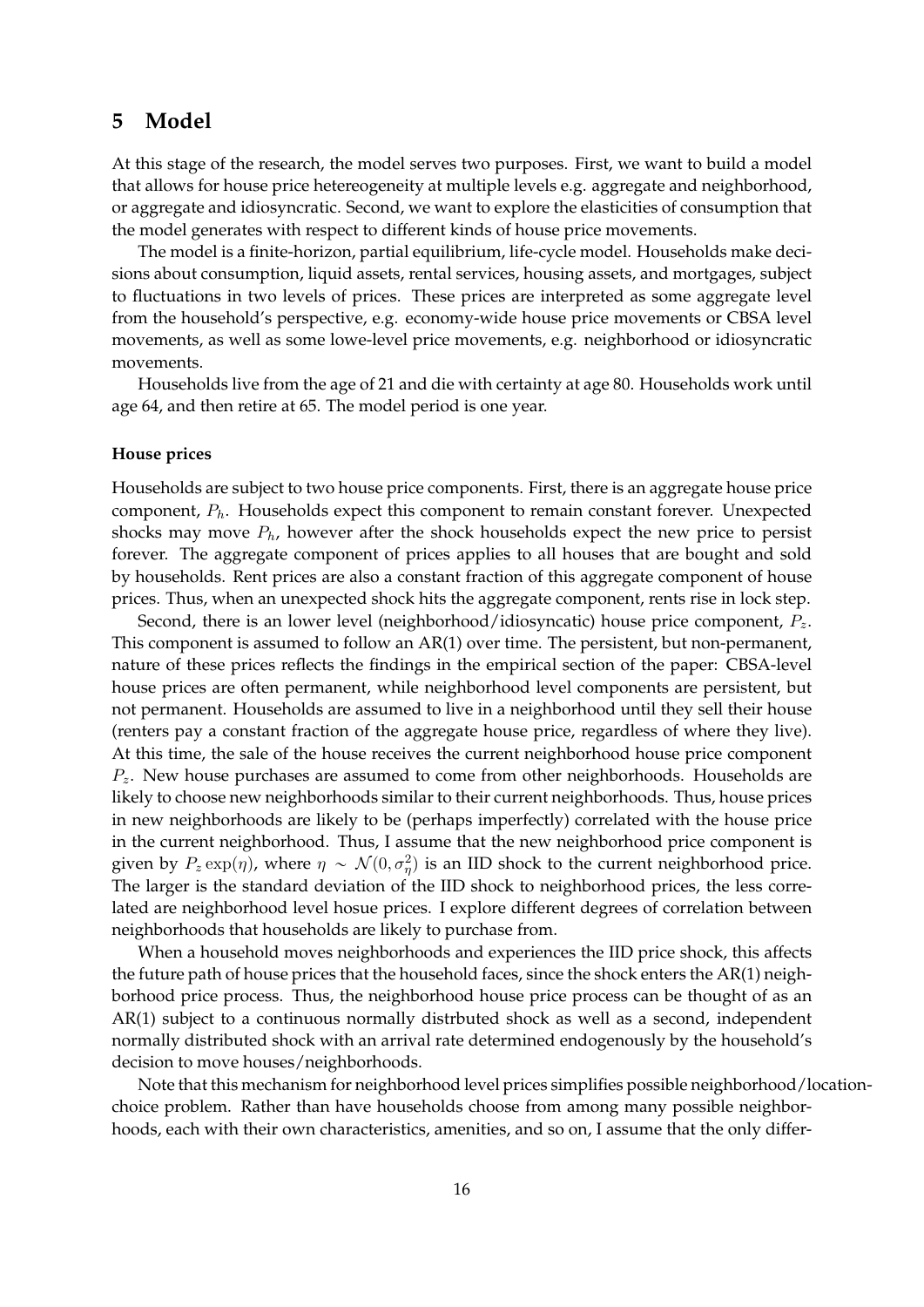# **5 Model**

At this stage of the research, the model serves two purposes. First, we want to build a model that allows for house price hetereogeneity at multiple levels e.g. aggregate and neighborhood, or aggregate and idiosyncratic. Second, we want to explore the elasticities of consumption that the model generates with respect to different kinds of house price movements.

The model is a finite-horizon, partial equilibrium, life-cycle model. Households make decisions about consumption, liquid assets, rental services, housing assets, and mortgages, subject to fluctuations in two levels of prices. These prices are interpreted as some aggregate level from the household's perspective, e.g. economy-wide house price movements or CBSA level movements, as well as some lowe-level price movements, e.g. neighborhood or idiosyncratic movements.

Households live from the age of 21 and die with certainty at age 80. Households work until age 64, and then retire at 65. The model period is one year.

## **House prices**

Households are subject to two house price components. First, there is an aggregate house price component, *Ph*. Households expect this component to remain constant forever. Unexpected shocks may move  $P_h$ , however after the shock households expect the new price to persist forever. The aggregate component of prices applies to all houses that are bought and sold by households. Rent prices are also a constant fraction of this aggregate component of house prices. Thus, when an unexpected shock hits the aggregate component, rents rise in lock step.

Second, there is an lower level (neighborhood/idiosyncatic) house price component, *Pz*. This component is assumed to follow an AR(1) over time. The persistent, but non-permanent, nature of these prices reflects the findings in the empirical section of the paper: CBSA-level house prices are often permanent, while neighborhood level components are persistent, but not permanent. Households are assumed to live in a neighborhood until they sell their house (renters pay a constant fraction of the aggregate house price, regardless of where they live). At this time, the sale of the house receives the current neighborhood house price component *Pz*. New house purchases are assumed to come from other neighborhoods. Households are likely to choose new neighborhoods similar to their current neighborhoods. Thus, house prices in new neighborhoods are likely to be (perhaps imperfectly) correlated with the house price in the current neighborhood. Thus, I assume that the new neighborhood price component is given by  $P_z \exp(\eta)$ , where  $\eta \sim \mathcal{N}(0, \sigma_{\eta}^2)$  is an IID shock to the current neighborhood price. The larger is the standard deviation of the IID shock to neighborhood prices, the less correlated are neighborhood level hosue prices. I explore different degrees of correlation between neighborhoods that households are likely to purchase from.

When a household moves neighborhoods and experiences the IID price shock, this affects the future path of house prices that the household faces, since the shock enters the AR(1) neighborhood price process. Thus, the neighborhood house price process can be thought of as an AR(1) subject to a continuous normally distrbuted shock as well as a second, independent normally distributed shock with an arrival rate determined endogenously by the household's decision to move houses/neighborhoods.

Note that this mechanism for neighborhood level prices simplifies possible neighborhood/locationchoice problem. Rather than have households choose from among many possible neighborhoods, each with their own characteristics, amenities, and so on, I assume that the only differ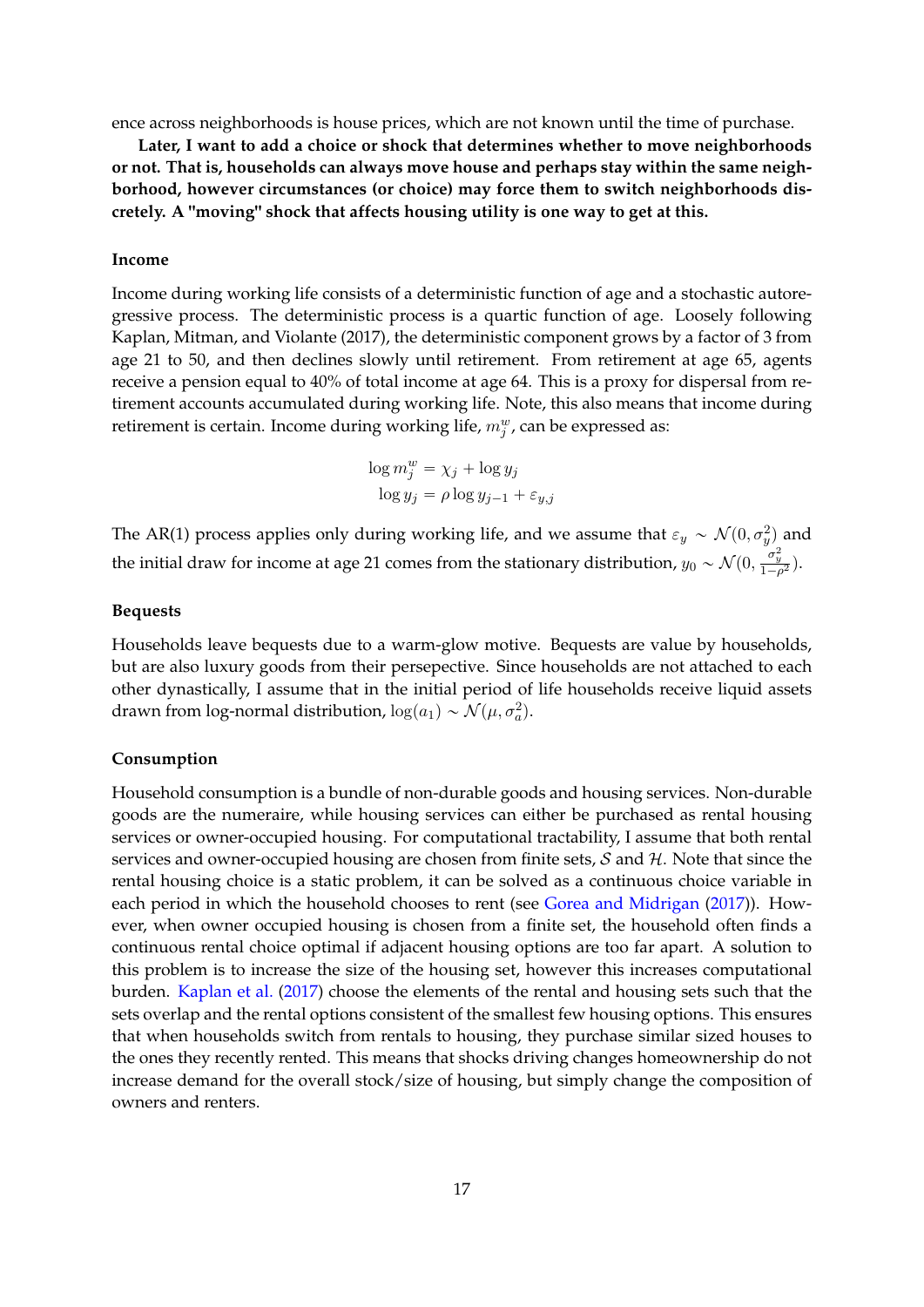ence across neighborhoods is house prices, which are not known until the time of purchase.

**Later, I want to add a choice or shock that determines whether to move neighborhoods or not. That is, households can always move house and perhaps stay within the same neighborhood, however circumstances (or choice) may force them to switch neighborhoods discretely. A "moving" shock that affects housing utility is one way to get at this.**

#### **Income**

Income during working life consists of a deterministic function of age and a stochastic autoregressive process. The deterministic process is a quartic function of age. Loosely following Kaplan, Mitman, and Violante (2017), the deterministic component grows by a factor of 3 from age 21 to 50, and then declines slowly until retirement. From retirement at age 65, agents receive a pension equal to 40% of total income at age 64. This is a proxy for dispersal from retirement accounts accumulated during working life. Note, this also means that income during retirement is certain. Income during working life,  $m_j^w$ , can be expressed as:

$$
\log m_j^w = \chi_j + \log y_j
$$

$$
\log y_j = \rho \log y_{j-1} + \varepsilon_{y,j}
$$

The AR(1) process applies only during working life, and we assume that  $\varepsilon_y \sim \mathcal{N}(0, \sigma_y^2)$  and the initial draw for income at age 21 comes from the stationary distribution,  $y_0 \sim \mathcal{N}(0, \frac{\sigma_y^2}{1-\rho^2})$ .

## **Bequests**

Households leave bequests due to a warm-glow motive. Bequests are value by households, but are also luxury goods from their persepective. Since households are not attached to each other dynastically, I assume that in the initial period of life households receive liquid assets drawn from log-normal distribution,  $\log(a_1) \sim \mathcal{N}(\mu, \sigma_a^2)$ .

### **Consumption**

Household consumption is a bundle of non-durable goods and housing services. Non-durable goods are the numeraire, while housing services can either be purchased as rental housing services or owner-occupied housing. For computational tractability, I assume that both rental services and owner-occupied housing are chosen from finite sets,  $S$  and  $H$ . Note that since the rental housing choice is a static problem, it can be solved as a continuous choice variable in each period in which the household chooses to rent (see [Gorea and Midrigan](#page-32-7) [\(2017\)](#page-32-7)). However, when owner occupied housing is chosen from a finite set, the household often finds a continuous rental choice optimal if adjacent housing options are too far apart. A solution to this problem is to increase the size of the housing set, however this increases computational burden. [Kaplan et al.](#page-33-4) [\(2017\)](#page-33-4) choose the elements of the rental and housing sets such that the sets overlap and the rental options consistent of the smallest few housing options. This ensures that when households switch from rentals to housing, they purchase similar sized houses to the ones they recently rented. This means that shocks driving changes homeownership do not increase demand for the overall stock/size of housing, but simply change the composition of owners and renters.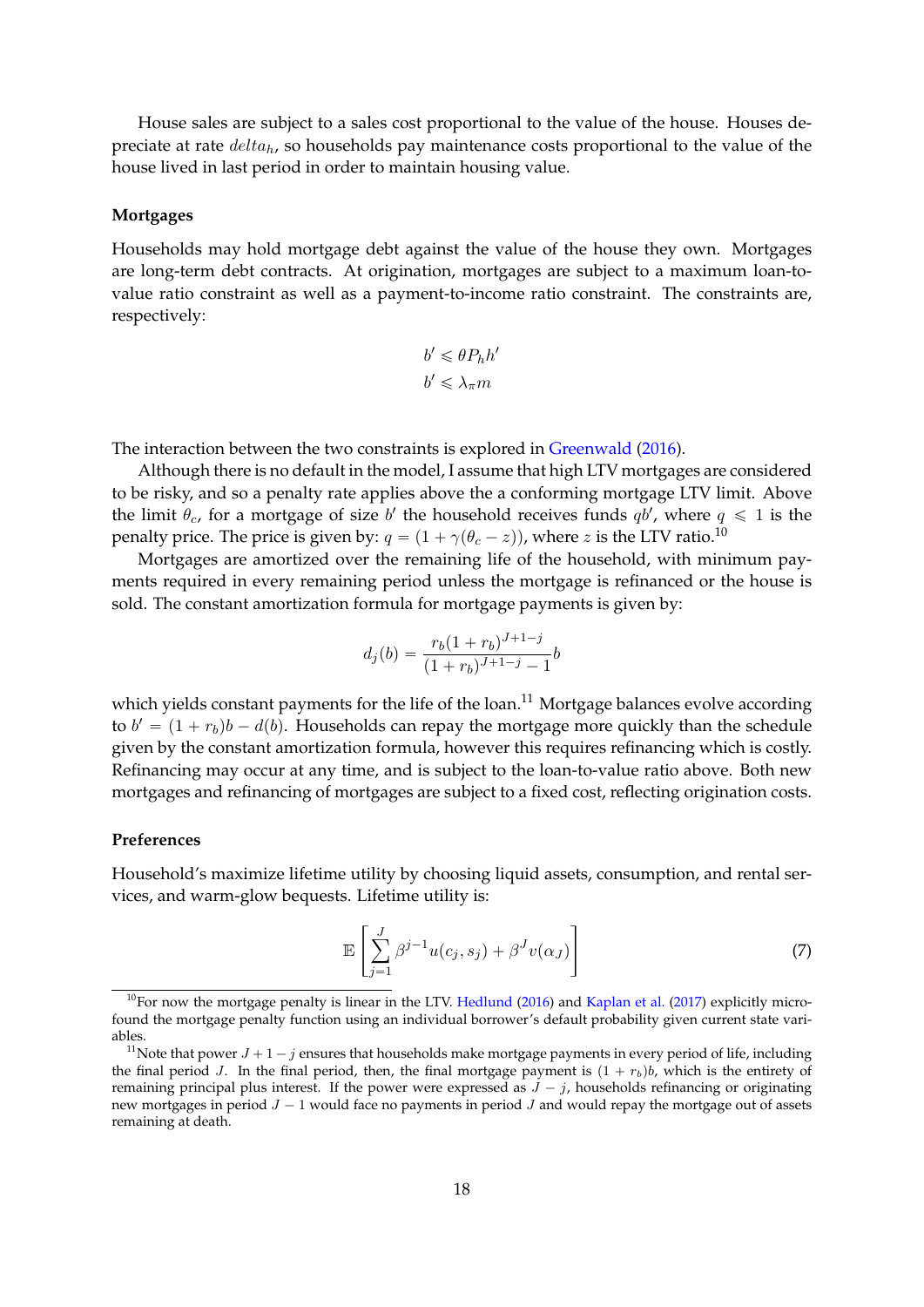House sales are subject to a sales cost proportional to the value of the house. Houses depreciate at rate *deltah*, so households pay maintenance costs proportional to the value of the house lived in last period in order to maintain housing value.

### **Mortgages**

Households may hold mortgage debt against the value of the house they own. Mortgages are long-term debt contracts. At origination, mortgages are subject to a maximum loan-tovalue ratio constraint as well as a payment-to-income ratio constraint. The constraints are, respectively:

$$
b' \leq \theta P_h h'
$$
  

$$
b' \leq \lambda_{\pi} m
$$

The interaction between the two constraints is explored in [Greenwald](#page-32-15) [\(2016\)](#page-32-15).

Although there is no default in the model, I assume that high LTV mortgages are considered to be risky, and so a penalty rate applies above the a conforming mortgage LTV limit. Above the limit  $\theta_c$ , for a mortgage of size *b*' the household receives funds  $q b'$ , where  $q \leq 1$  is the penalty price. The price is given by:  $q = (1 + \gamma(\theta_c - z))$ , where *z* is the LTV ratio.<sup>[10](#page-18-0)</sup>

Mortgages are amortized over the remaining life of the household, with minimum payments required in every remaining period unless the mortgage is refinanced or the house is sold. The constant amortization formula for mortgage payments is given by:

$$
d_j(b) = \frac{r_b(1+r_b)^{J+1-j}}{(1+r_b)^{J+1-j} - 1}b
$$

which yields constant payments for the life of the loan.<sup>[11](#page-18-1)</sup> Mortgage balances evolve according to  $b' = (1 + r_b)b - d(b)$ . Households can repay the mortgage more quickly than the schedule given by the constant amortization formula, however this requires refinancing which is costly. Refinancing may occur at any time, and is subject to the loan-to-value ratio above. Both new mortgages and refinancing of mortgages are subject to a fixed cost, reflecting origination costs.

## **Preferences**

Household's maximize lifetime utility by choosing liquid assets, consumption, and rental services, and warm-glow bequests. Lifetime utility is:

$$
\mathbb{E}\left[\sum_{j=1}^{J}\beta^{j-1}u(c_j,s_j)+\beta^J v(\alpha_J)\right]
$$
\n(7)

<span id="page-18-0"></span> $10$ For now the mortgage penalty is linear in the LTV. [Hedlund](#page-33-7) [\(2016\)](#page-33-7) and [Kaplan et al.](#page-33-4) [\(2017\)](#page-33-4) explicitly microfound the mortgage penalty function using an individual borrower's default probability given current state variables.

<span id="page-18-1"></span><sup>&</sup>lt;sup>11</sup>Note that power  $J + 1 - j$  ensures that households make mortgage payments in every period of life, including the final period *J*. In the final period, then, the final mortgage payment is  $(1 + r_b)b$ , which is the entirety of remaining principal plus interest. If the power were expressed as  $J - j$ , households refinancing or originating new mortgages in period  $J - 1$  would face no payments in period  $J$  and would repay the mortgage out of assets remaining at death.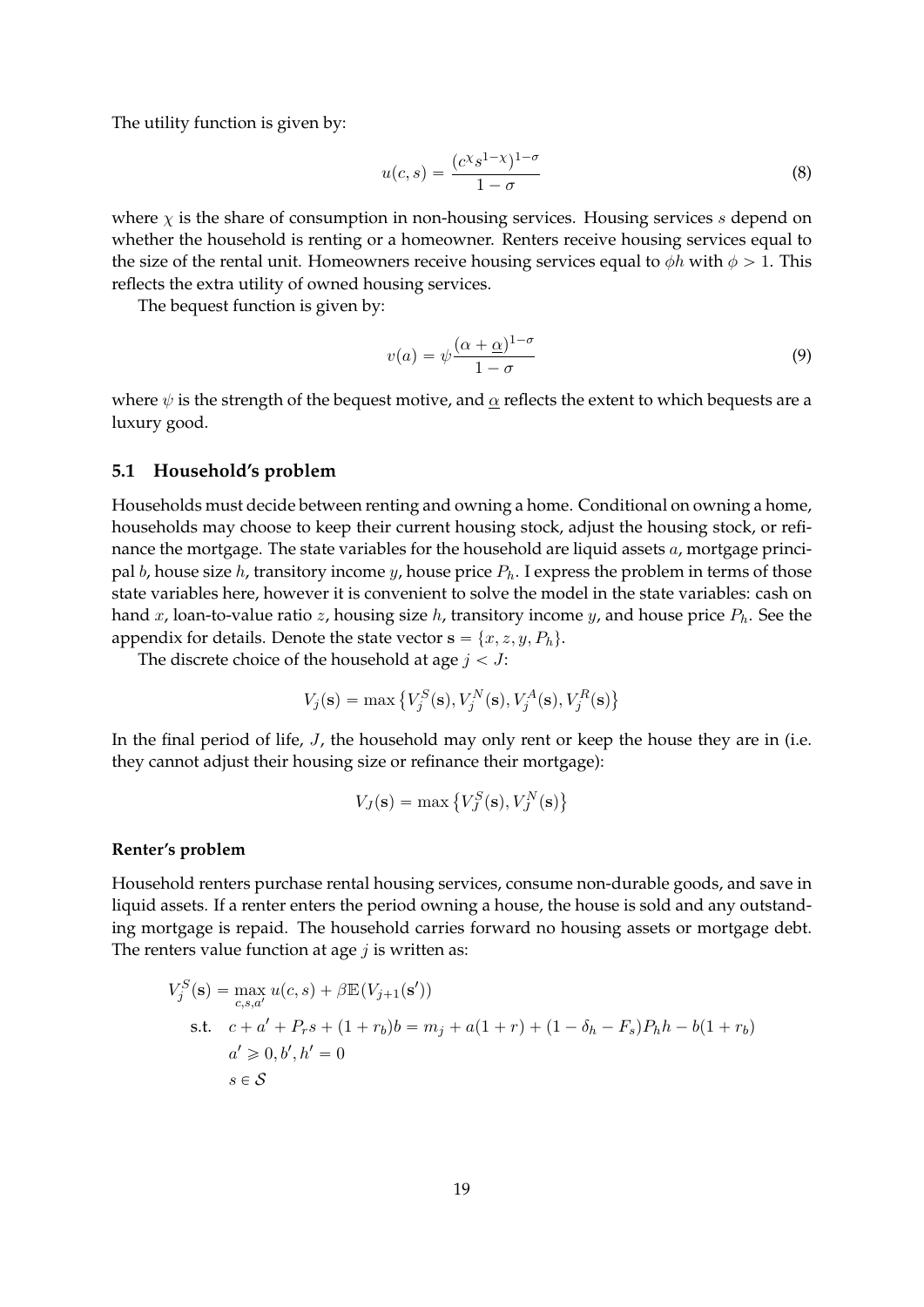The utility function is given by:

$$
u(c,s) = \frac{(c^{\chi}s^{1-\chi})^{1-\sigma}}{1-\sigma}
$$
\n(8)

where *χ* is the share of consumption in non-housing services. Housing services *s* depend on whether the household is renting or a homeowner. Renters receive housing services equal to the size of the rental unit. Homeowners receive housing services equal to  $\phi h$  with  $\phi > 1$ . This reflects the extra utility of owned housing services.

The bequest function is given by:

$$
v(a) = \psi \frac{(\alpha + \underline{\alpha})^{1-\sigma}}{1-\sigma} \tag{9}
$$

where  $\psi$  is the strength of the bequest motive, and  $\alpha$  reflects the extent to which bequests are a luxury good.

# **5.1 Household's problem**

Households must decide between renting and owning a home. Conditional on owning a home, households may choose to keep their current housing stock, adjust the housing stock, or refinance the mortgage. The state variables for the household are liquid assets *a*, mortgage principal *b*, house size *h*, transitory income *y*, house price  $P_h$ . I express the problem in terms of those state variables here, however it is convenient to solve the model in the state variables: cash on hand *x*, loan-to-value ratio *z*, housing size *h*, transitory income *y*, and house price *Ph*. See the appendix for details. Denote the state vector  $\mathbf{s} = \{x, z, y, P_h\}.$ 

The discrete choice of the household at age  $j < J$ :

$$
V_j(\mathbf{s}) = \max \left\{ V_j^S(\mathbf{s}), V_j^N(\mathbf{s}), V_j^A(\mathbf{s}), V_j^R(\mathbf{s}) \right\}
$$

In the final period of life, *J*, the household may only rent or keep the house they are in (i.e. they cannot adjust their housing size or refinance their mortgage):

$$
V_J(\mathbf{s}) = \max \left\{ V_J^S(\mathbf{s}), V_J^N(\mathbf{s}) \right\}
$$

## **Renter's problem**

Household renters purchase rental housing services, consume non-durable goods, and save in liquid assets. If a renter enters the period owning a house, the house is sold and any outstanding mortgage is repaid. The household carries forward no housing assets or mortgage debt. The renters value function at age *j* is written as:

$$
V_j^S(\mathbf{s}) = \max_{c, s, a'} u(c, s) + \beta \mathbb{E}(V_{j+1}(\mathbf{s}'))
$$
  
s.t.  $c + a' + P_r s + (1 + r_b)b = m_j + a(1 + r) + (1 - \delta_h - F_s)P_h h - b(1 + r_b)$   
 $a' \ge 0, b', h' = 0$   
 $s \in S$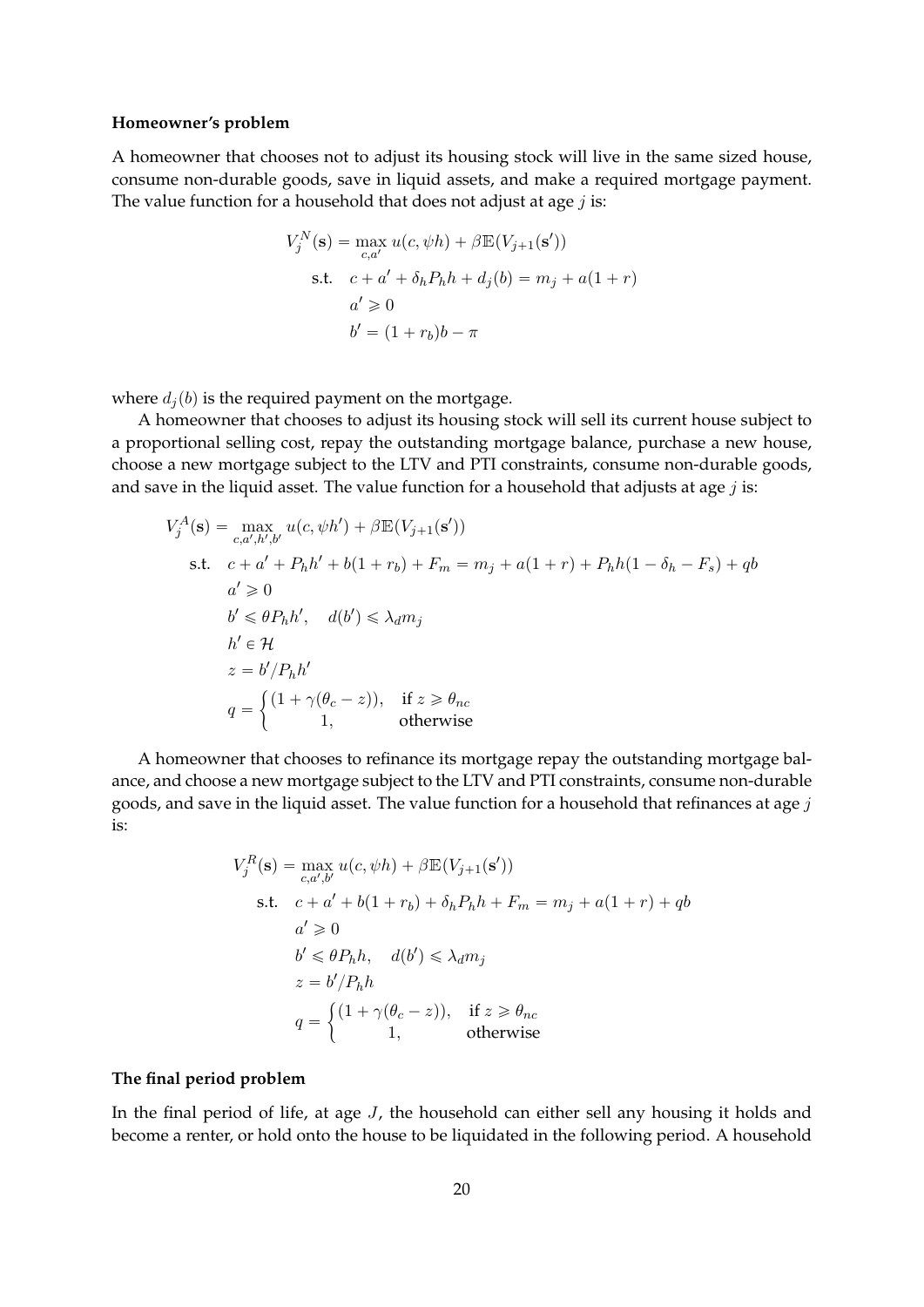## **Homeowner's problem**

A homeowner that chooses not to adjust its housing stock will live in the same sized house, consume non-durable goods, save in liquid assets, and make a required mortgage payment. The value function for a household that does not adjust at age *j* is:

$$
V_j^N(\mathbf{s}) = \max_{c,a'} u(c, \psi h) + \beta \mathbb{E}(V_{j+1}(\mathbf{s}'))
$$
  
s.t.  $c + a' + \delta_h P_h h + d_j(b) = m_j + a(1+r)$   
 $a' \ge 0$   
 $b' = (1+r_b)b - \pi$ 

where  $d_i(b)$  is the required payment on the mortgage.

A homeowner that chooses to adjust its housing stock will sell its current house subject to a proportional selling cost, repay the outstanding mortgage balance, purchase a new house, choose a new mortgage subject to the LTV and PTI constraints, consume non-durable goods, and save in the liquid asset. The value function for a household that adjusts at age *j* is:

$$
V_j^A(\mathbf{s}) = \max_{c, a', h', b'} u(c, \psi h') + \beta \mathbb{E}(V_{j+1}(\mathbf{s}'))
$$
  
s.t.  $c + a' + P_h h' + b(1 + r_b) + F_m = m_j + a(1 + r) + P_h h(1 - \delta_h - F_s) + qb$   
 $a' \ge 0$   
 $b' \le \theta P_h h', \quad d(b') \le \lambda_d m_j$   
 $h' \in \mathcal{H}$   
 $z = b'/P_h h'$   
 $q = \begin{cases} (1 + \gamma(\theta_c - z)), & \text{if } z \ge \theta_{nc} \\ 1, & \text{otherwise} \end{cases}$ 

A homeowner that chooses to refinance its mortgage repay the outstanding mortgage balance, and choose a new mortgage subject to the LTV and PTI constraints, consume non-durable goods, and save in the liquid asset. The value function for a household that refinances at age *j* is:

$$
V_j^R(\mathbf{s}) = \max_{c,a',b'} u(c, \psi h) + \beta \mathbb{E}(V_{j+1}(\mathbf{s}'))
$$
  
s.t.  $c + a' + b(1 + r_b) + \delta_h P_h h + F_m = m_j + a(1 + r) + qb$   
 $a' \ge 0$   
 $b' \le \theta P_h h, \quad d(b') \le \lambda_d m_j$   
 $z = b'/P_h h$   
 $q = \begin{cases} (1 + \gamma(\theta_c - z)), & \text{if } z \ge \theta_{nc} \\ 1, & \text{otherwise} \end{cases}$ 

## **The final period problem**

In the final period of life, at age *J*, the household can either sell any housing it holds and become a renter, or hold onto the house to be liquidated in the following period. A household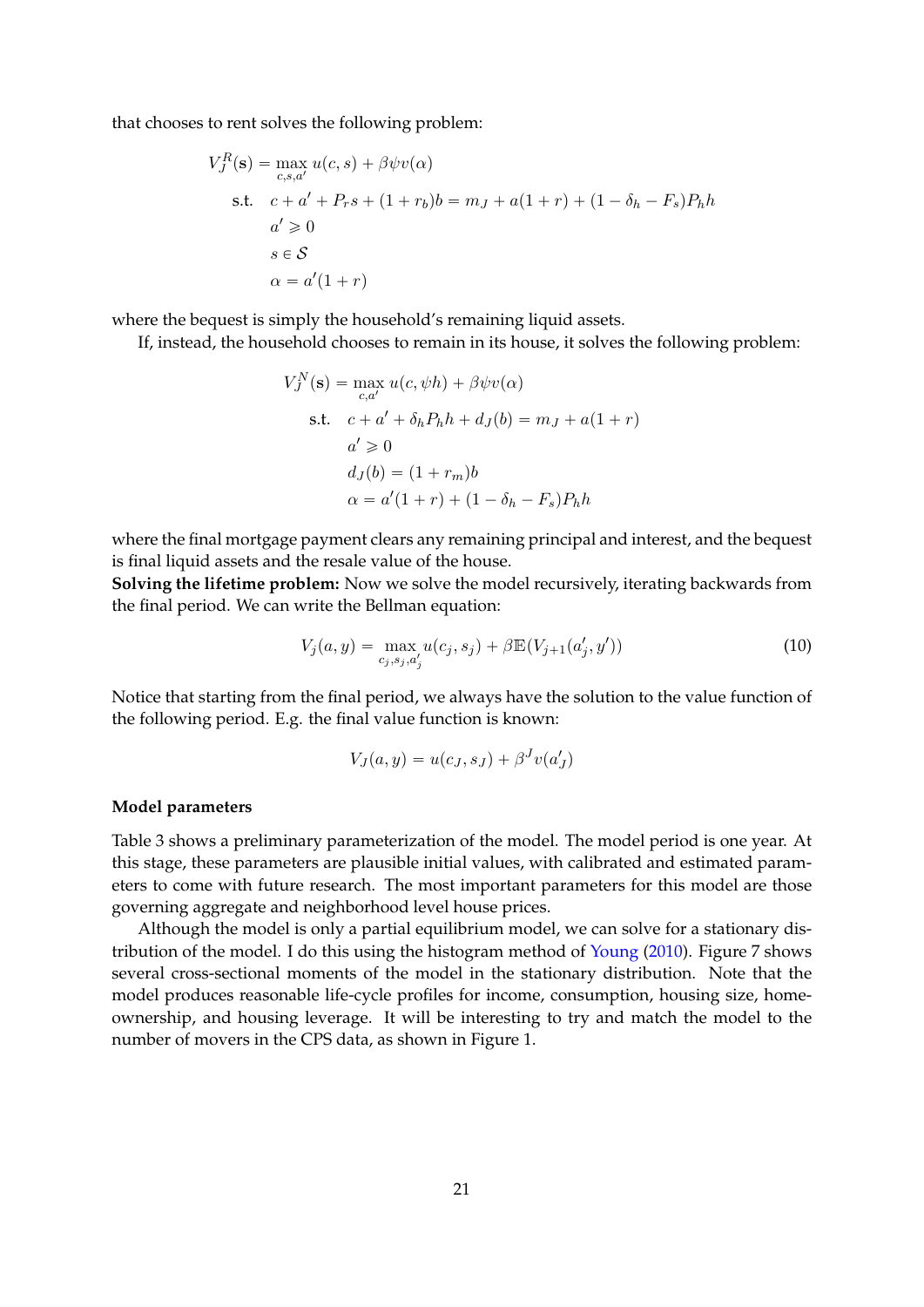that chooses to rent solves the following problem:

$$
V_J^R(\mathbf{s}) = \max_{c,s,a'} u(c,s) + \beta \psi v(\alpha)
$$
  
s.t.  $c + a' + P_r s + (1 + r_b)b = m_J + a(1 + r) + (1 - \delta_h - F_s)P_h h$   
 $a' \ge 0$   
 $s \in S$   
 $\alpha = a'(1 + r)$ 

where the bequest is simply the household's remaining liquid assets.

If, instead, the household chooses to remain in its house, it solves the following problem:

$$
V_J^N(\mathbf{s}) = \max_{c,a'} u(c, \psi h) + \beta \psi v(\alpha)
$$
  
s.t.  $c + a' + \delta_h P_h h + d_J(b) = m_J + a(1+r)$   
 $a' \ge 0$   
 $d_J(b) = (1 + r_m)b$   
 $\alpha = a'(1+r) + (1 - \delta_h - F_s)P_h h$ 

where the final mortgage payment clears any remaining principal and interest, and the bequest is final liquid assets and the resale value of the house.

**Solving the lifetime problem:** Now we solve the model recursively, iterating backwards from the final period. We can write the Bellman equation:

$$
V_j(a, y) = \max_{c_j, s_j, a'_j} u(c_j, s_j) + \beta \mathbb{E}(V_{j+1}(a'_j, y')) \tag{10}
$$

Notice that starting from the final period, we always have the solution to the value function of the following period. E.g. the final value function is known:

$$
V_J(a,y) = u(c_J, s_J) + \beta^J v(a'_J)
$$

### **Model parameters**

Table [3](#page-22-0) shows a preliminary parameterization of the model. The model period is one year. At this stage, these parameters are plausible initial values, with calibrated and estimated parameters to come with future research. The most important parameters for this model are those governing aggregate and neighborhood level house prices.

Although the model is only a partial equilibrium model, we can solve for a stationary distribution of the model. I do this using the histogram method of [Young](#page-33-8) [\(2010\)](#page-33-8). Figure [7](#page-24-1) shows several cross-sectional moments of the model in the stationary distribution. Note that the model produces reasonable life-cycle profiles for income, consumption, housing size, homeownership, and housing leverage. It will be interesting to try and match the model to the number of movers in the CPS data, as shown in Figure [1.](#page-2-0)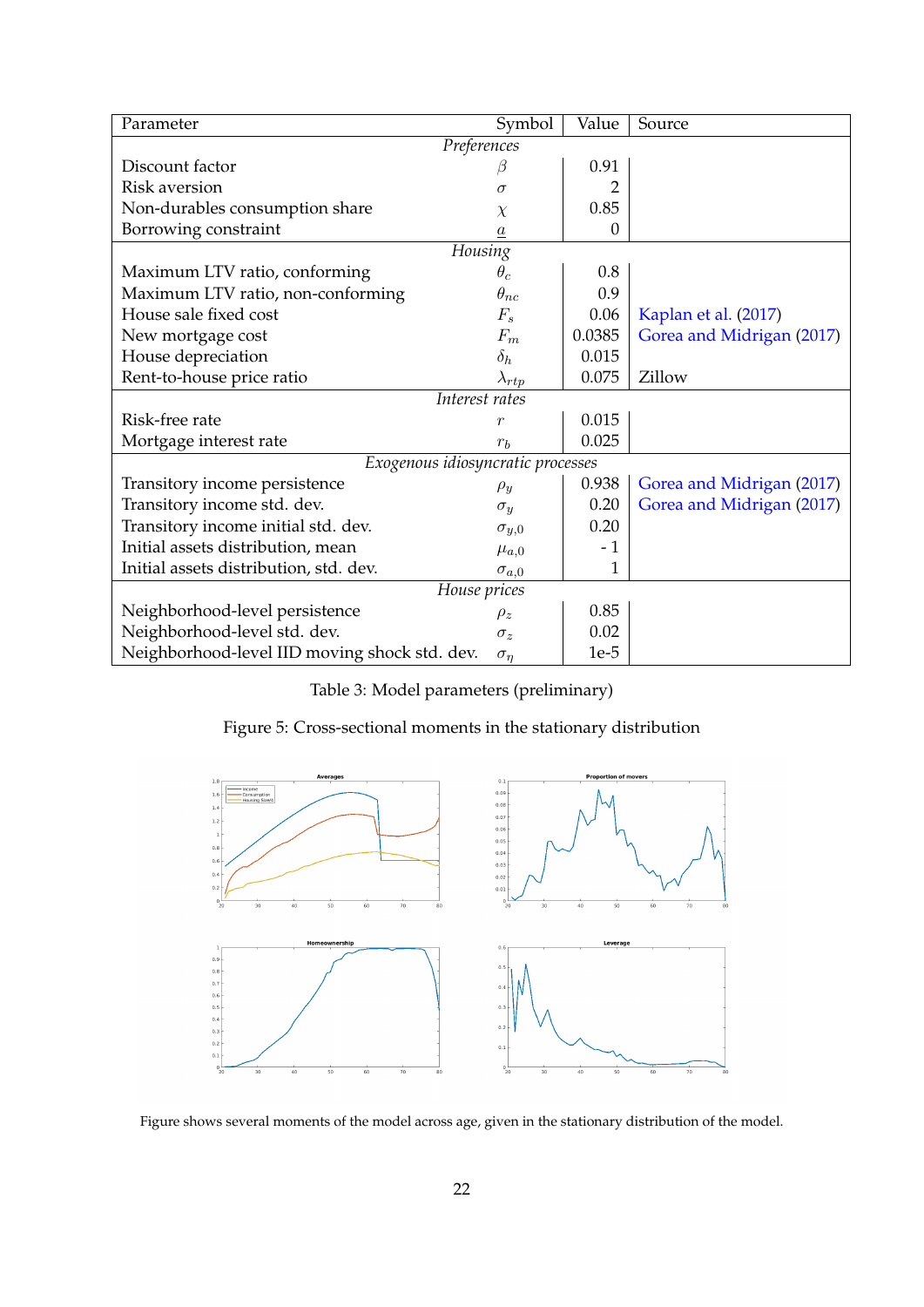<span id="page-22-0"></span>

| Parameter                                     | Symbol          | Value  | Source                    |
|-----------------------------------------------|-----------------|--------|---------------------------|
| Preferences                                   |                 |        |                           |
| Discount factor                               | ß               | 0.91   |                           |
| Risk aversion                                 | $\sigma$        |        |                           |
| Non-durables consumption share                | $\chi$          | 0.85   |                           |
| Borrowing constraint                          | $\it a$         | 0      |                           |
| <b>Housing</b>                                |                 |        |                           |
| Maximum LTV ratio, conforming                 | $\theta_c$      | 0.8    |                           |
| Maximum LTV ratio, non-conforming             | $\theta_{nc}$   | 0.9    |                           |
| House sale fixed cost                         | $F_s$           | 0.06   | Kaplan et al. (2017)      |
| New mortgage cost                             | $F_m$           | 0.0385 | Gorea and Midrigan (2017) |
| House depreciation                            | $\delta_h$      | 0.015  |                           |
| Rent-to-house price ratio                     | $\lambda_{rtp}$ | 0.075  | Zillow                    |
| Interest rates                                |                 |        |                           |
| Risk-free rate                                | $\overline{r}$  | 0.015  |                           |
| Mortgage interest rate                        | $r_b$           | 0.025  |                           |
| Exogenous idiosyncratic processes             |                 |        |                           |
| Transitory income persistence                 | $\rho_y$        | 0.938  | Gorea and Midrigan (2017) |
| Transitory income std. dev.                   | $\sigma_y$      | 0.20   | Gorea and Midrigan (2017) |
| Transitory income initial std. dev.           | $\sigma_{y,0}$  | 0.20   |                           |
| Initial assets distribution, mean             | $\mu_{a,0}$     | - 1    |                           |
| Initial assets distribution, std. dev.        | $\sigma_{a,0}$  | 1      |                           |
| House prices                                  |                 |        |                           |
| Neighborhood-level persistence                | $\rho_z$        | 0.85   |                           |
| Neighborhood-level std. dev.                  | $\sigma_z$      | 0.02   |                           |
| Neighborhood-level IID moving shock std. dev. | $\sigma_n$      | $1e-5$ |                           |

Table 3: Model parameters (preliminary)

|  |  | Figure 5: Cross-sectional moments in the stationary distribution |  |  |  |
|--|--|------------------------------------------------------------------|--|--|--|
|--|--|------------------------------------------------------------------|--|--|--|



Figure shows several moments of the model across age, given in the stationary distribution of the model.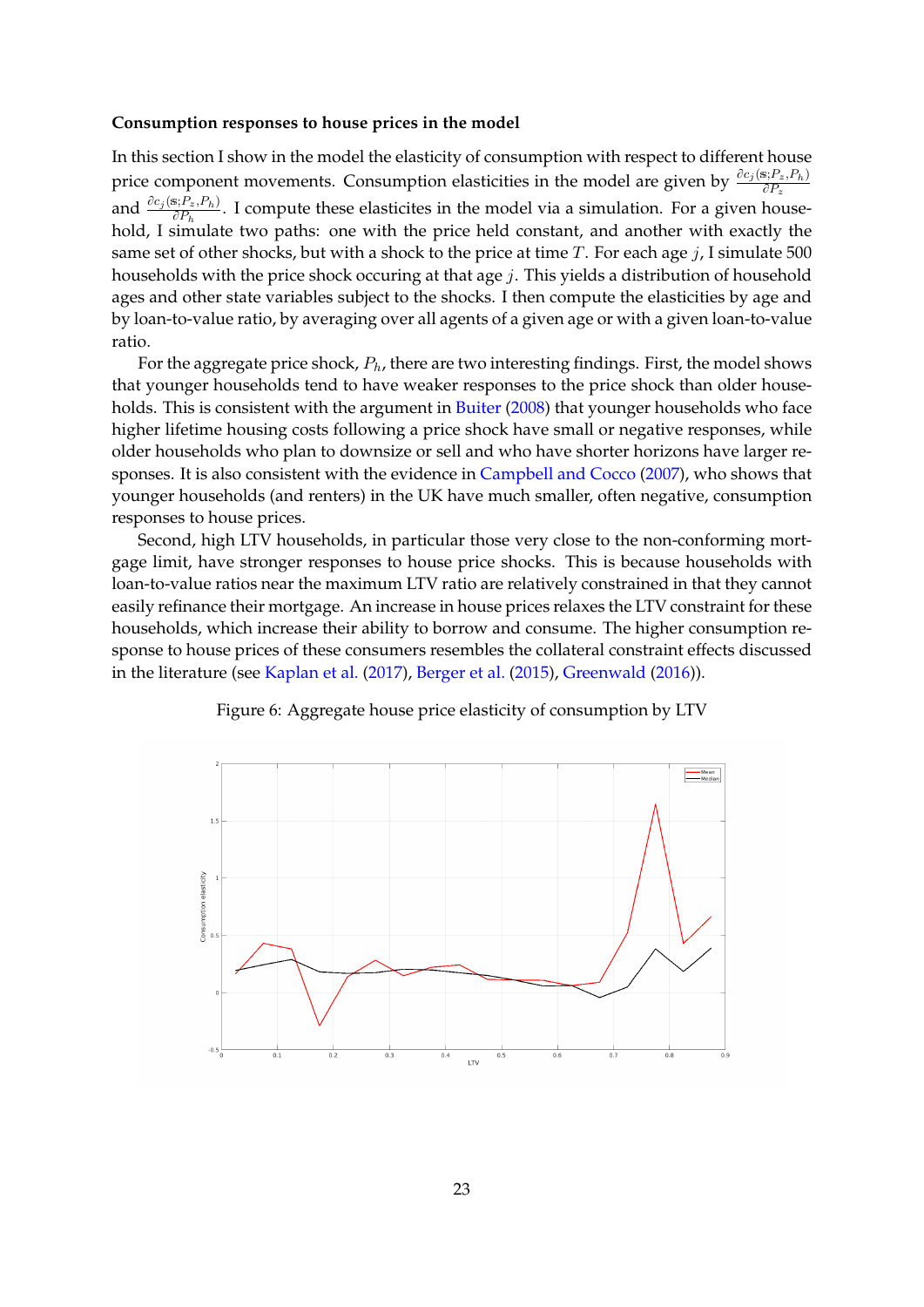#### **Consumption responses to house prices in the model**

In this section I show in the model the elasticity of consumption with respect to different house price component movements. Consumption elasticities in the model are given by  $\frac{\partial c_j(s; P_z, P_h)}{\partial P_z}$ and  $\frac{\partial c_j(s;P_z,P_h)}{\partial P_h}$ . I compute these elasticites in the model via a simulation. For a given household, I simulate two paths: one with the price held constant, and another with exactly the same set of other shocks, but with a shock to the price at time *T*. For each age *j*, I simulate 500 households with the price shock occuring at that age *j*. This yields a distribution of household ages and other state variables subject to the shocks. I then compute the elasticities by age and by loan-to-value ratio, by averaging over all agents of a given age or with a given loan-to-value ratio.

For the aggregate price shock, *Ph*, there are two interesting findings. First, the model shows that younger households tend to have weaker responses to the price shock than older house-holds. This is consistent with the argument in [Buiter](#page-32-3) [\(2008\)](#page-32-3) that younger households who face higher lifetime housing costs following a price shock have small or negative responses, while older households who plan to downsize or sell and who have shorter horizons have larger responses. It is also consistent with the evidence in [Campbell and Cocco](#page-32-0) [\(2007\)](#page-32-0), who shows that younger households (and renters) in the UK have much smaller, often negative, consumption responses to house prices.

Second, high LTV households, in particular those very close to the non-conforming mortgage limit, have stronger responses to house price shocks. This is because households with loan-to-value ratios near the maximum LTV ratio are relatively constrained in that they cannot easily refinance their mortgage. An increase in house prices relaxes the LTV constraint for these households, which increase their ability to borrow and consume. The higher consumption response to house prices of these consumers resembles the collateral constraint effects discussed in the literature (see [Kaplan et al.](#page-33-4) [\(2017\)](#page-33-4), [Berger et al.](#page-32-2) [\(2015\)](#page-32-2), [Greenwald](#page-32-15) [\(2016\)](#page-32-15)).



#### Figure 6: Aggregate house price elasticity of consumption by LTV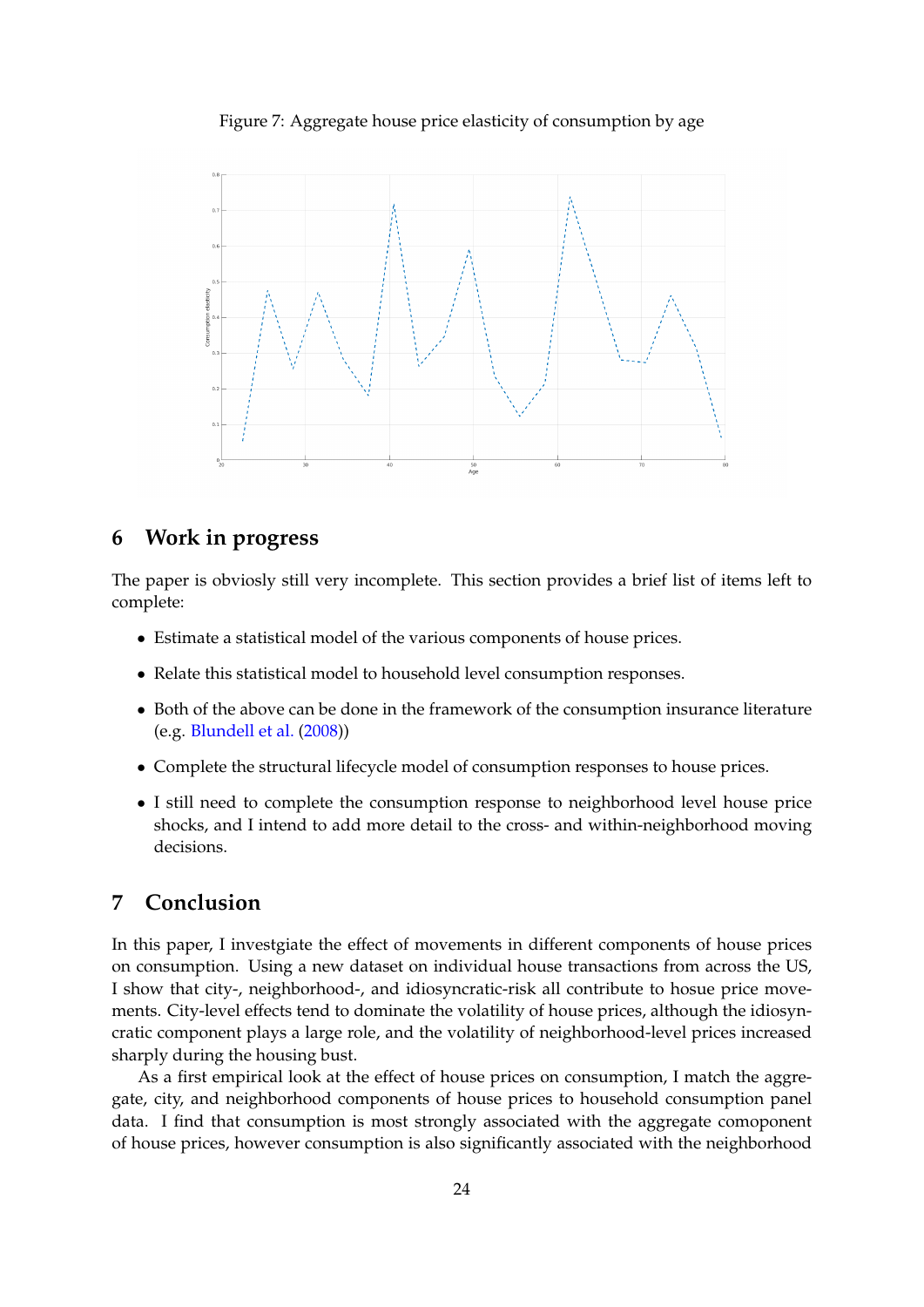Figure 7: Aggregate house price elasticity of consumption by age

<span id="page-24-1"></span>

# <span id="page-24-0"></span>**6 Work in progress**

The paper is obviosly still very incomplete. This section provides a brief list of items left to complete:

- Estimate a statistical model of the various components of house prices.
- Relate this statistical model to household level consumption responses.
- Both of the above can be done in the framework of the consumption insurance literature (e.g. [Blundell et al.](#page-32-14) [\(2008\)](#page-32-14))
- Complete the structural lifecycle model of consumption responses to house prices.
- I still need to complete the consumption response to neighborhood level house price shocks, and I intend to add more detail to the cross- and within-neighborhood moving decisions.

# **7 Conclusion**

In this paper, I investgiate the effect of movements in different components of house prices on consumption. Using a new dataset on individual house transactions from across the US, I show that city-, neighborhood-, and idiosyncratic-risk all contribute to hosue price movements. City-level effects tend to dominate the volatility of house prices, although the idiosyncratic component plays a large role, and the volatility of neighborhood-level prices increased sharply during the housing bust.

As a first empirical look at the effect of house prices on consumption, I match the aggregate, city, and neighborhood components of house prices to household consumption panel data. I find that consumption is most strongly associated with the aggregate comoponent of house prices, however consumption is also significantly associated with the neighborhood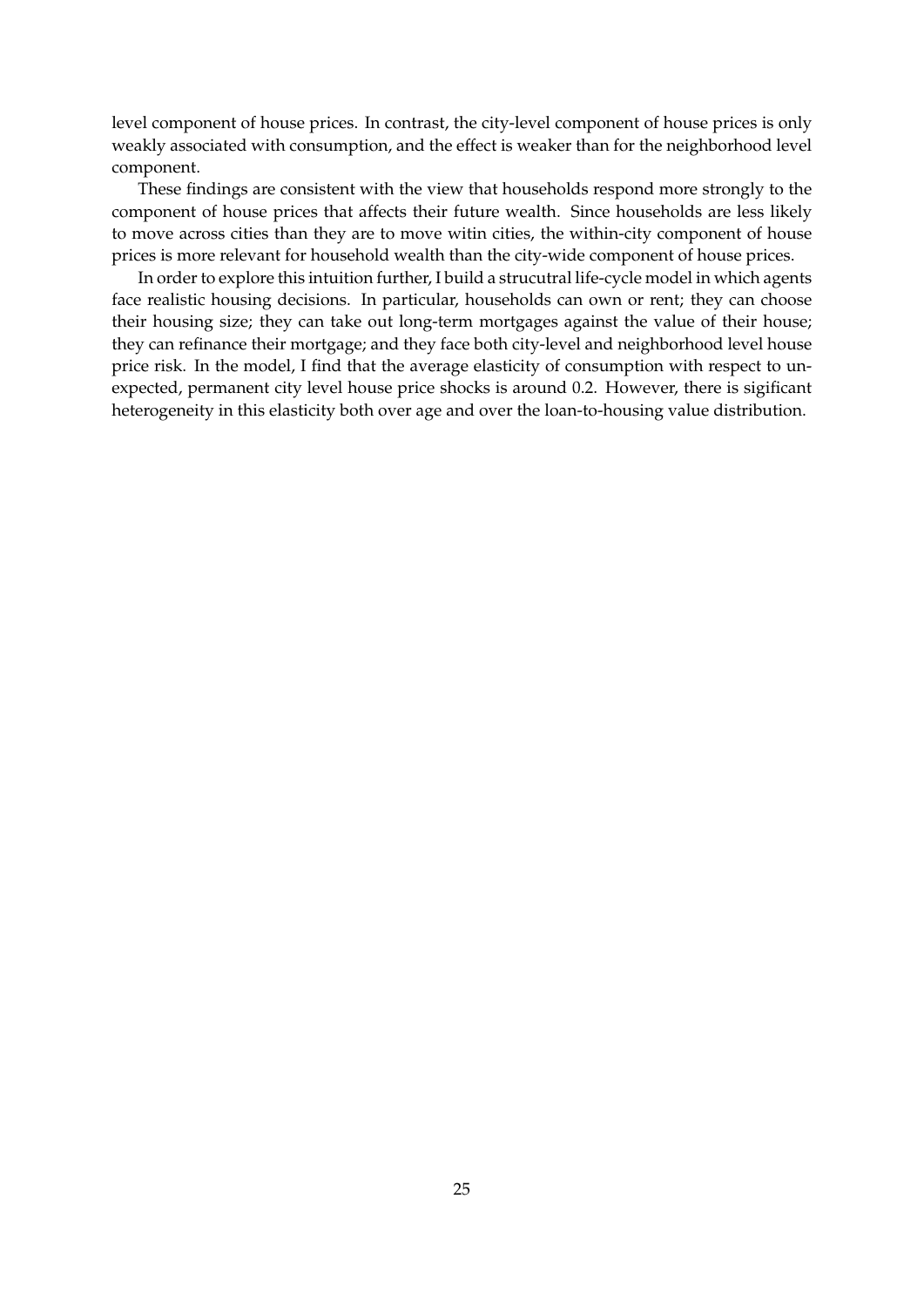level component of house prices. In contrast, the city-level component of house prices is only weakly associated with consumption, and the effect is weaker than for the neighborhood level component.

These findings are consistent with the view that households respond more strongly to the component of house prices that affects their future wealth. Since households are less likely to move across cities than they are to move witin cities, the within-city component of house prices is more relevant for household wealth than the city-wide component of house prices.

In order to explore this intuition further, I build a strucutral life-cycle model in which agents face realistic housing decisions. In particular, households can own or rent; they can choose their housing size; they can take out long-term mortgages against the value of their house; they can refinance their mortgage; and they face both city-level and neighborhood level house price risk. In the model, I find that the average elasticity of consumption with respect to unexpected, permanent city level house price shocks is around 0.2. However, there is sigificant heterogeneity in this elasticity both over age and over the loan-to-housing value distribution.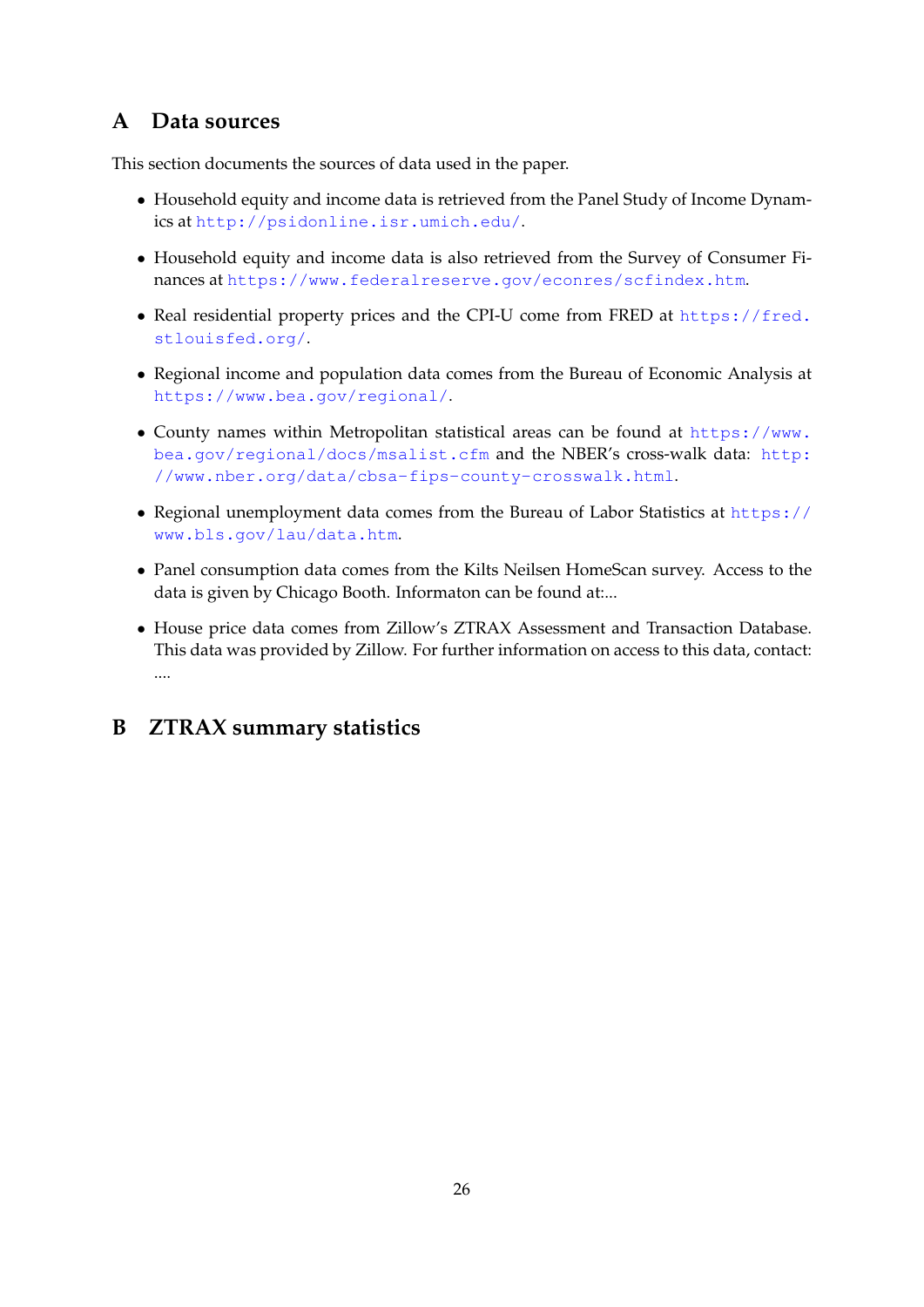# **A Data sources**

This section documents the sources of data used in the paper.

- Household equity and income data is retrieved from the Panel Study of Income Dynamics at <http://psidonline.isr.umich.edu/>.
- Household equity and income data is also retrieved from the Survey of Consumer Finances at <https://www.federalreserve.gov/econres/scfindex.htm>.
- Real residential property prices and the CPI-U come from FRED at [https://fred.](https://fred.stlouisfed.org/) [stlouisfed.org/](https://fred.stlouisfed.org/).
- Regional income and population data comes from the Bureau of Economic Analysis at <https://www.bea.gov/regional/>.
- County names within Metropolitan statistical areas can be found at [https://www.](https://www.bea.gov/regional/docs/msalist.cfm) [bea.gov/regional/docs/msalist.cfm](https://www.bea.gov/regional/docs/msalist.cfm) and the NBER's cross-walk data: [http:](http://www.nber.org/data/cbsa-fips-county-crosswalk.html) [//www.nber.org/data/cbsa-fips-county-crosswalk.html](http://www.nber.org/data/cbsa-fips-county-crosswalk.html).
- Regional unemployment data comes from the Bureau of Labor Statistics at [https://](https://www.bls.gov/lau/data.htm) [www.bls.gov/lau/data.htm](https://www.bls.gov/lau/data.htm).
- Panel consumption data comes from the Kilts Neilsen HomeScan survey. Access to the data is given by Chicago Booth. Informaton can be found at:...
- House price data comes from Zillow's ZTRAX Assessment and Transaction Database. This data was provided by Zillow. For further information on access to this data, contact: ....

# <span id="page-26-0"></span>**B ZTRAX summary statistics**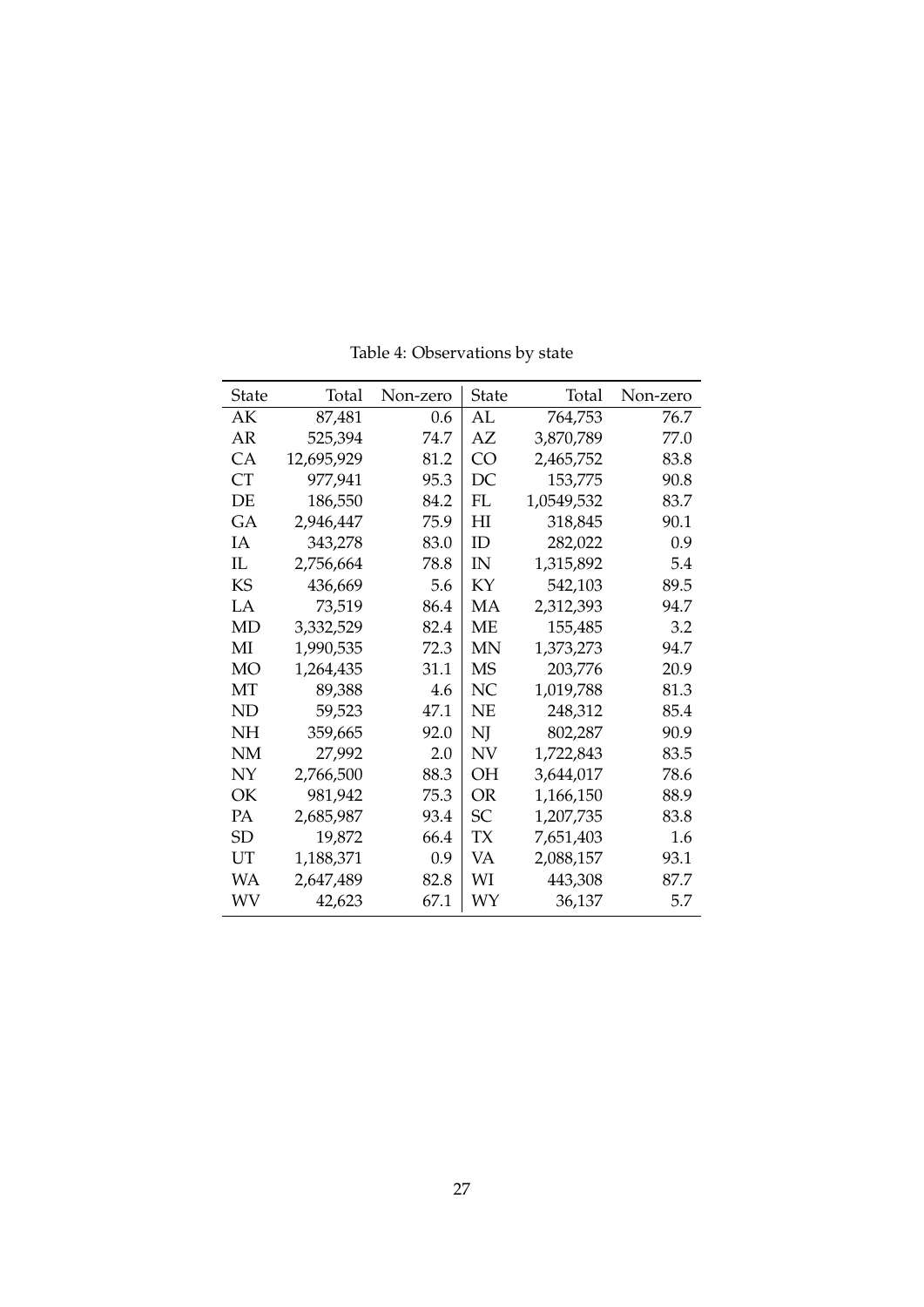<span id="page-27-0"></span>

| State | Total      | Non-zero | State | Total      | Non-zero |
|-------|------------|----------|-------|------------|----------|
| AК    | 87,481     | 0.6      | AL    | 764,753    | 76.7     |
| AR    | 525,394    | 74.7     | AZ    | 3,870,789  | 77.0     |
| СA    | 12,695,929 | 81.2     | CO    | 2,465,752  | 83.8     |
| СT    | 977,941    | 95.3     | DC    | 153,775    | 90.8     |
| DE    | 186,550    | 84.2     | FL    | 1,0549,532 | 83.7     |
| GA    | 2,946,447  | 75.9     | НI    | 318,845    | 90.1     |
| IΑ    | 343,278    | 83.0     | ID    | 282,022    | 0.9      |
| IL    | 2,756,664  | 78.8     | IN    | 1,315,892  | 5.4      |
| KS    | 436,669    | 5.6      | KY    | 542,103    | 89.5     |
| LA.   | 73,519     | 86.4     | MА    | 2,312,393  | 94.7     |
| MD    | 3,332,529  | 82.4     | ME.   | 155,485    | 3.2      |
| МI    | 1,990,535  | 72.3     | MΝ    | 1,373,273  | 94.7     |
| MО    | 1,264,435  | 31.1     | MS    | 203,776    | 20.9     |
| MТ    | 89,388     | 4.6      | NС    | 1,019,788  | 81.3     |
| ND    | 59,523     | 47.1     | NE    | 248,312    | 85.4     |
| NΗ    | 359,665    | 92.0     | NJ    | 802,287    | 90.9     |
| NΜ    | 27,992     | 2.0      | ΝV    | 1,722,843  | 83.5     |
| NY    | 2,766,500  | 88.3     | OН    | 3,644,017  | 78.6     |
| OК    | 981,942    | 75.3     | OR    | 1,166,150  | 88.9     |
| PА    | 2,685,987  | 93.4     | SС    | 1,207,735  | 83.8     |
| SD    | 19,872     | 66.4     | TХ    | 7,651,403  | 1.6      |
| UT    | 1,188,371  | 0.9      | VA    | 2,088,157  | 93.1     |
| WА    | 2,647,489  | 82.8     | WІ    | 443,308    | 87.7     |
| WV    | 42,623     | 67.1     | WY    | 36,137     | 5.7      |

Table 4: Observations by state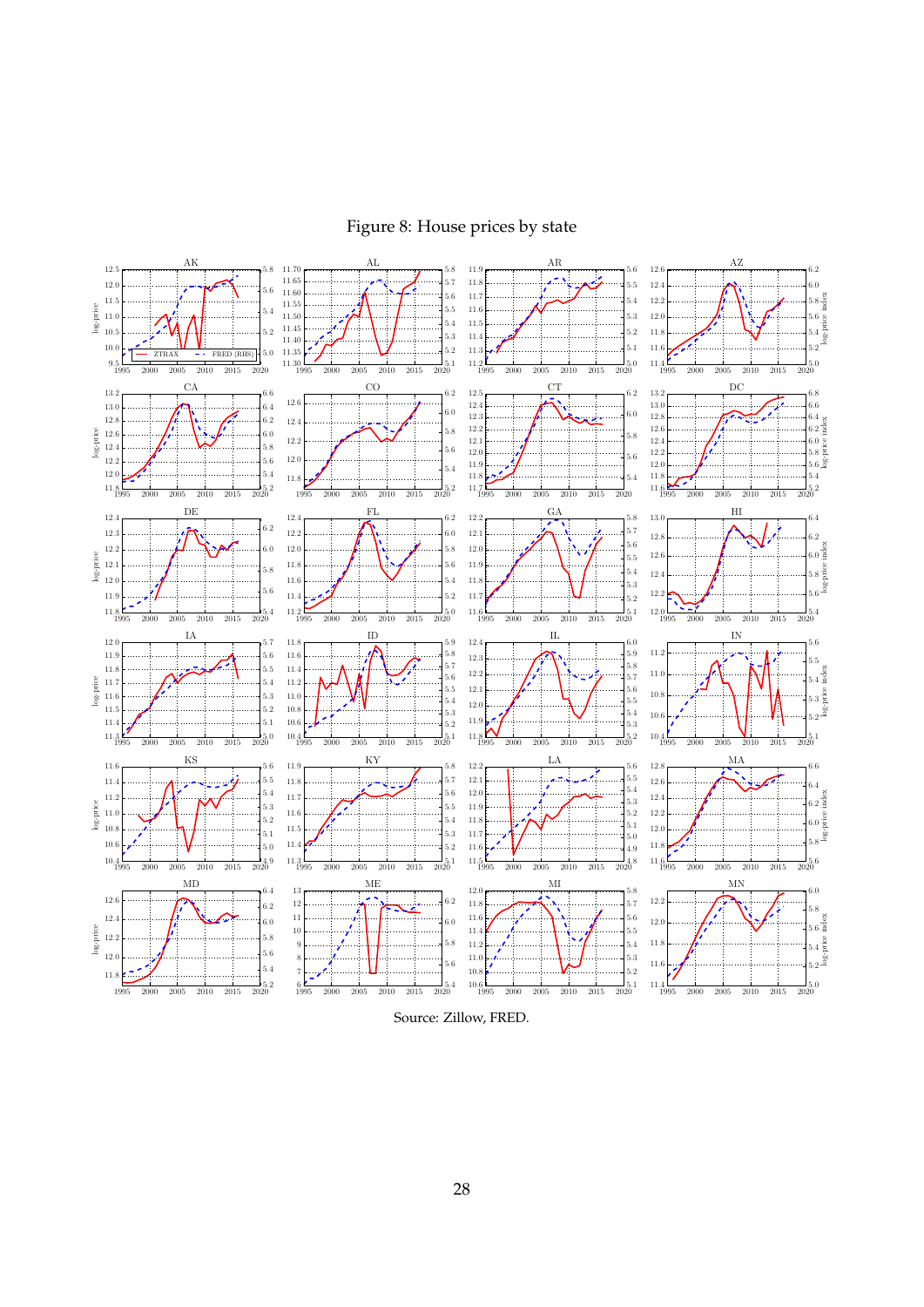# Figure 8: House prices by state

<span id="page-28-0"></span>

Source: Zillow, FRED.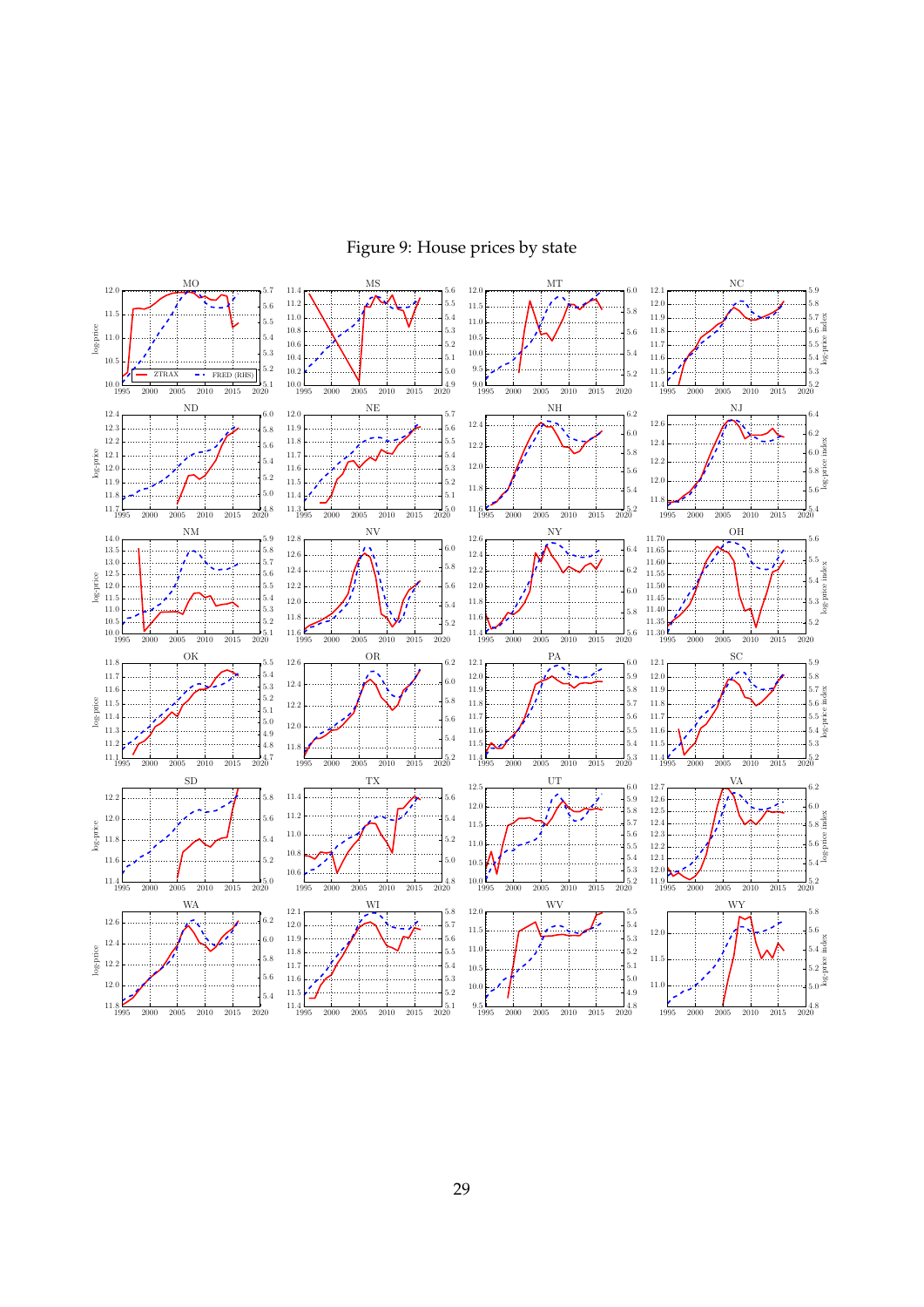

<span id="page-29-0"></span>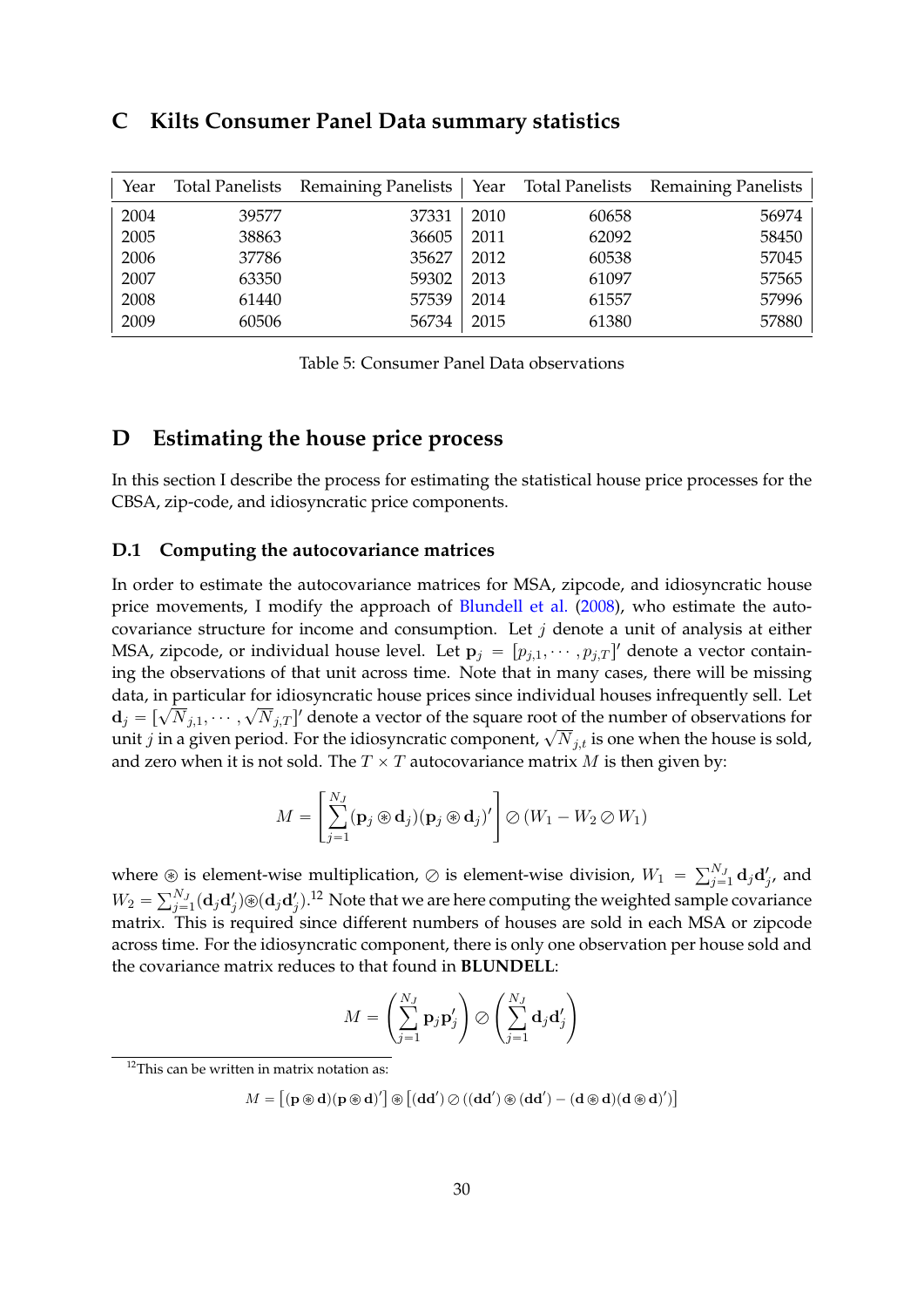# <span id="page-30-0"></span>**C Kilts Consumer Panel Data summary statistics**

<span id="page-30-1"></span>

| Year |       | Total Panelists Remaining Panelists   Year Total Panelists Remaining Panelists |      |       |       |
|------|-------|--------------------------------------------------------------------------------|------|-------|-------|
| 2004 | 39577 | 37331                                                                          | 2010 | 60658 | 56974 |
| 2005 | 38863 | 36605                                                                          | 2011 | 62092 | 58450 |
| 2006 | 37786 | 35627                                                                          | 2012 | 60538 | 57045 |
| 2007 | 63350 | 59302                                                                          | 2013 | 61097 | 57565 |
| 2008 | 61440 | 57539                                                                          | 2014 | 61557 | 57996 |
| 2009 | 60506 | 56734                                                                          | 2015 | 61380 | 57880 |

Table 5: Consumer Panel Data observations

# <span id="page-30-2"></span>**D Estimating the house price process**

In this section I describe the process for estimating the statistical house price processes for the CBSA, zip-code, and idiosyncratic price components.

# **D.1 Computing the autocovariance matrices**

In order to estimate the autocovariance matrices for MSA, zipcode, and idiosyncratic house price movements, I modify the approach of [Blundell et al.](#page-32-14) [\(2008\)](#page-32-14), who estimate the autocovariance structure for income and consumption. Let *j* denote a unit of analysis at either MSA, zipcode, or individual house level. Let  $\mathbf{p}_j = [p_{j,1}, \dots, p_{j,T}]'$  denote a vector containing the observations of that unit across time. Note that in many cases, there will be missing data, in particular for idiosyncratic house prices since individual houses infrequently sell. Let  $d_j = [\sqrt{N}_{j,1}, \cdots, \sqrt{N}_{j,T}]'$  denote a vector of the square root of the number of observations for  $\mathbf{u}_j = [\mathbf{v}_1, \mathbf{v}_j], \dots, \mathbf{v}_j, \mathbf{v}_j]$  denote a vector of the square root of the number of observations for unit *j* in a given period. For the idiosyncratic component,  $\sqrt{N}_{j,t}$  is one when the house is sold, and zero when it is not sold. The  $T \times T$  autocovariance matrix M is then given by:

$$
M = \left[\sum_{j=1}^{N_J} (\mathbf{p}_j \circledast \mathbf{d}_j)(\mathbf{p}_j \circledast \mathbf{d}_j)'\right] \oslash (W_1 - W_2 \oslash W_1)
$$

where  $\circledast$  is element-wise multiplication,  $\oslash$  is element-wise division,  $W_1 = \sum_{j=1}^{N_J} \mathbf{d}_j \mathbf{d}'_j$ , and  $W_2 = \sum_{j=1}^{N_J} (\mathbf{d}_j \mathbf{d}'_j) \circledast (\mathbf{d}_j \mathbf{d}'_j).$ <sup>[12](#page-30-3)</sup> Note that we are here computing the weighted sample covariance matrix. This is required since different numbers of houses are sold in each MSA or zipcode across time. For the idiosyncratic component, there is only one observation per house sold and the covariance matrix reduces to that found in **BLUNDELL**:

$$
M = \left(\sum_{j=1}^{N_J} \mathbf{p}_j \mathbf{p}_j' \right) \bigotimes \left(\sum_{j=1}^{N_J} \mathbf{d}_j \mathbf{d}_j' \right)
$$

<span id="page-30-3"></span> $12$ This can be written in matrix notation as:

 $M =$ "  $(\mathbf{p} \circledast \mathbf{d})(\mathbf{p} \circledast \mathbf{d})'$  $^\circledR$  $\bigl[ (\mathbf{d} \mathbf{d}') \oslash ((\mathbf{d} \mathbf{d}') \circledast (\mathbf{d} \mathbf{d}') - (\mathbf{d} \circledast \mathbf{d})(\mathbf{d} \circledast \mathbf{d})' \bigr]$ ‰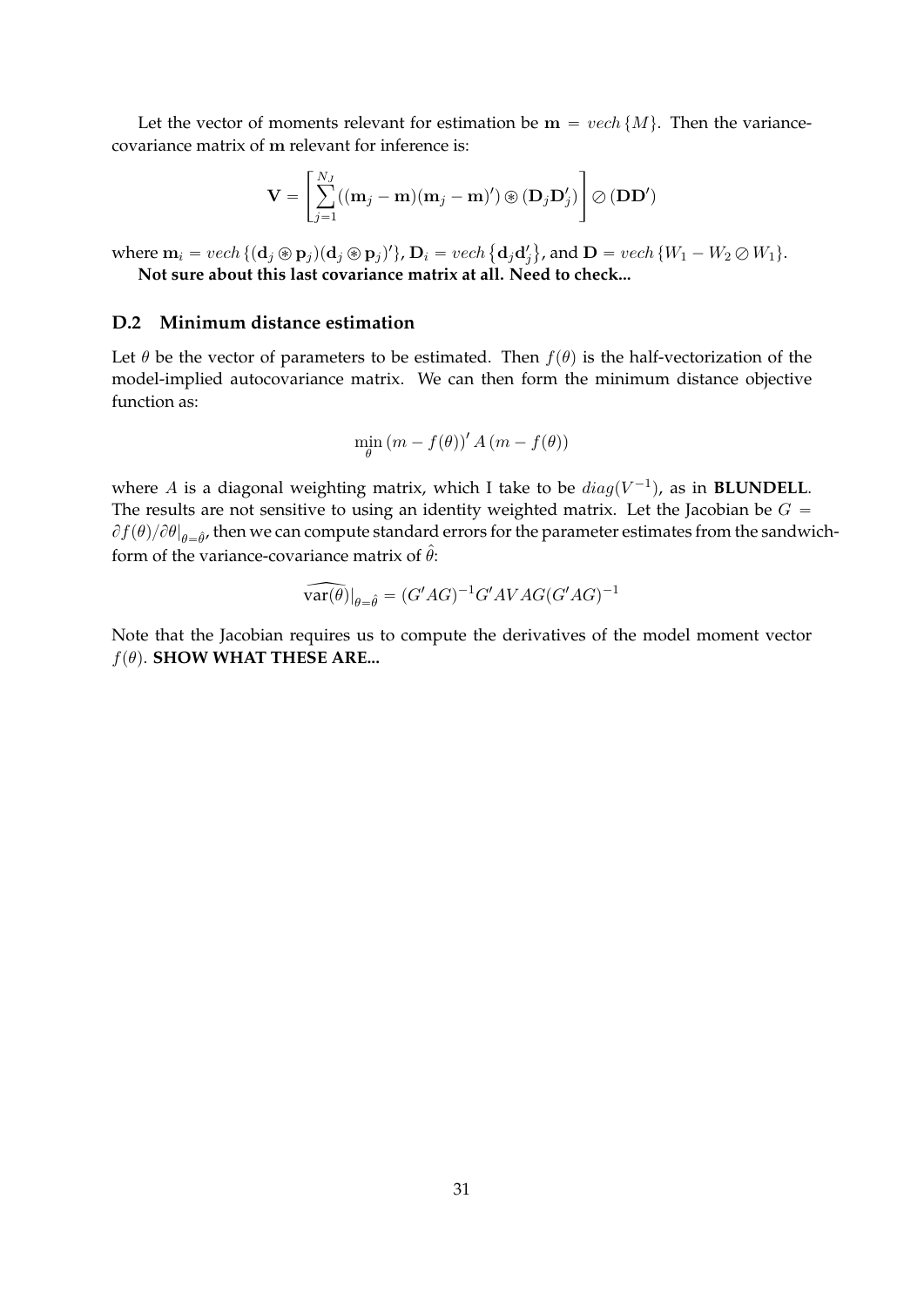Let the vector of moments relevant for estimation be  $\mathbf{m} = \text{vech} \{M\}$ . Then the variancecovariance matrix of **m** relevant for inference is:

$$
\mathbf{V} = \left[ \sum_{j=1}^{N_J} ((\mathbf{m}_j - \mathbf{m})(\mathbf{m}_j - \mathbf{m})') \circledast (\mathbf{D}_j \mathbf{D}'_j) \right] \oslash (\mathbf{D}\mathbf{D}')
$$

where  $\mathbf{m}_i = vech \{(\mathbf{d}_j \circledast \mathbf{p}_j)(\mathbf{d}_j \circledast \mathbf{p}_j)'\}$ ,  $\mathbf{D}_i = vech \{d_jd_j'\}$ , and  $\mathbf{D} = vech \{W_1 - W_2 \oslash W_1\}$ .  $\mathbf{r}$ **Not sure about this last covariance matrix at all. Need to check...**

# **D.2 Minimum distance estimation**

Let  $\theta$  be the vector of parameters to be estimated. Then  $f(\theta)$  is the half-vectorization of the model-implied autocovariance matrix. We can then form the minimum distance objective function as:

$$
\min_{\theta} (m - f(\theta))' A (m - f(\theta))
$$

where A is a diagonal weighting matrix, which I take to be  $diag(V^{-1})$ , as in **BLUNDELL**. The results are not sensitive to using an identity weighted matrix. Let the Jacobian be  $G =$  $\partial f(\theta)/\partial \theta|_{\theta=\hat{\theta}}$ , then we can compute standard errors for the parameter estimates from the sandwichform of the variance-covariance matrix of  $\hat{\theta}$ :

$$
\widehat{\text{var}(\theta)}|_{\theta=\hat{\theta}} = (G'AG)^{-1}G'AVAG(G'AG)^{-1}
$$

Note that the Jacobian requires us to compute the derivatives of the model moment vector  $f(\theta)$ . **SHOW WHAT THESE ARE...**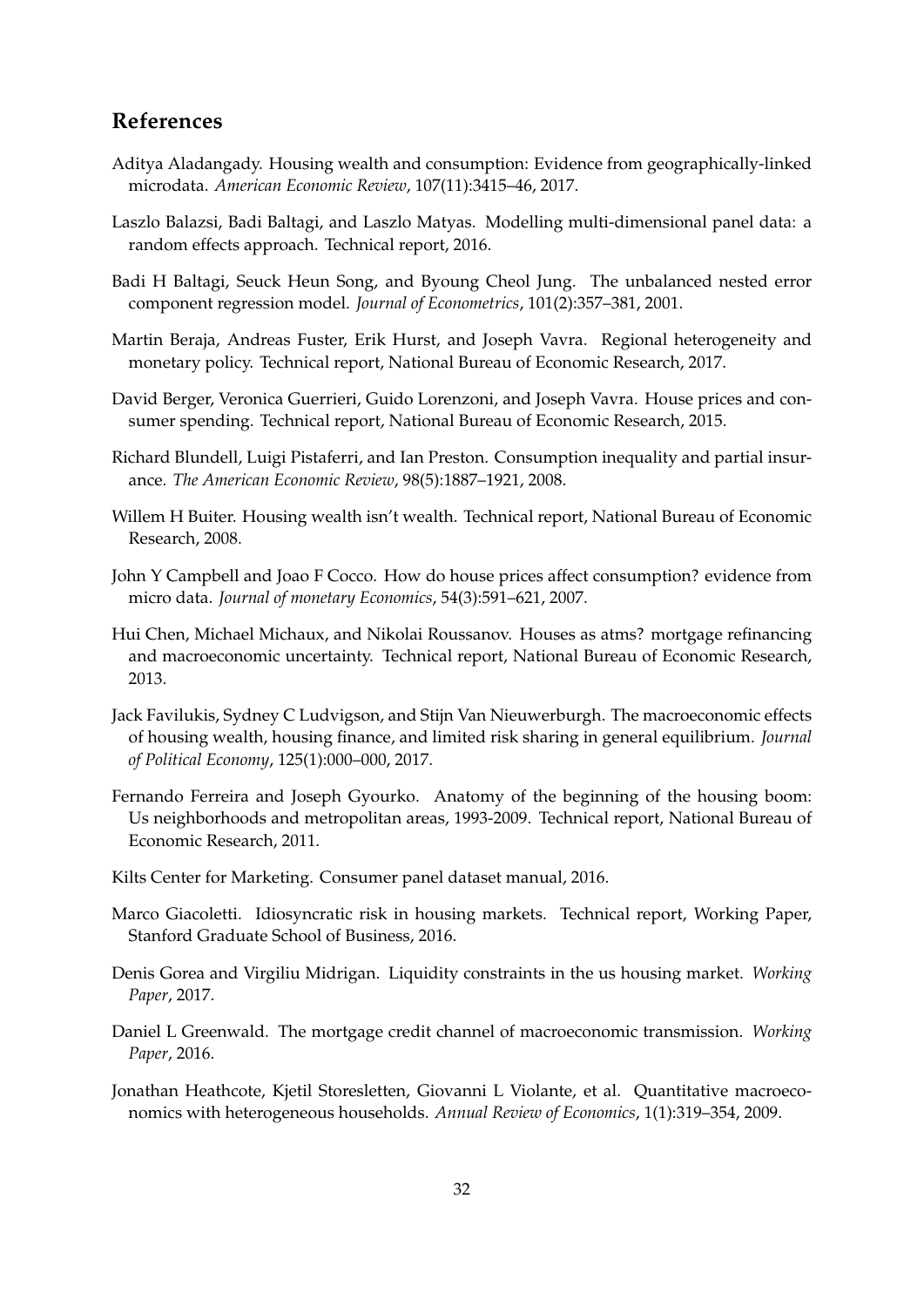# **References**

- <span id="page-32-1"></span>Aditya Aladangady. Housing wealth and consumption: Evidence from geographically-linked microdata. *American Economic Review*, 107(11):3415–46, 2017.
- <span id="page-32-13"></span>Laszlo Balazsi, Badi Baltagi, and Laszlo Matyas. Modelling multi-dimensional panel data: a random effects approach. Technical report, 2016.
- <span id="page-32-12"></span>Badi H Baltagi, Seuck Heun Song, and Byoung Cheol Jung. The unbalanced nested error component regression model. *Journal of Econometrics*, 101(2):357–381, 2001.
- <span id="page-32-10"></span>Martin Beraja, Andreas Fuster, Erik Hurst, and Joseph Vavra. Regional heterogeneity and monetary policy. Technical report, National Bureau of Economic Research, 2017.
- <span id="page-32-2"></span>David Berger, Veronica Guerrieri, Guido Lorenzoni, and Joseph Vavra. House prices and consumer spending. Technical report, National Bureau of Economic Research, 2015.
- <span id="page-32-14"></span>Richard Blundell, Luigi Pistaferri, and Ian Preston. Consumption inequality and partial insurance. *The American Economic Review*, 98(5):1887–1921, 2008.
- <span id="page-32-3"></span>Willem H Buiter. Housing wealth isn't wealth. Technical report, National Bureau of Economic Research, 2008.
- <span id="page-32-0"></span>John Y Campbell and Joao F Cocco. How do house prices affect consumption? evidence from micro data. *Journal of monetary Economics*, 54(3):591–621, 2007.
- <span id="page-32-8"></span>Hui Chen, Michael Michaux, and Nikolai Roussanov. Houses as atms? mortgage refinancing and macroeconomic uncertainty. Technical report, National Bureau of Economic Research, 2013.
- <span id="page-32-9"></span>Jack Favilukis, Sydney C Ludvigson, and Stijn Van Nieuwerburgh. The macroeconomic effects of housing wealth, housing finance, and limited risk sharing in general equilibrium. *Journal of Political Economy*, 125(1):000–000, 2017.
- <span id="page-32-4"></span>Fernando Ferreira and Joseph Gyourko. Anatomy of the beginning of the housing boom: Us neighborhoods and metropolitan areas, 1993-2009. Technical report, National Bureau of Economic Research, 2011.
- <span id="page-32-11"></span>Kilts Center for Marketing. Consumer panel dataset manual, 2016.
- <span id="page-32-5"></span>Marco Giacoletti. Idiosyncratic risk in housing markets. Technical report, Working Paper, Stanford Graduate School of Business, 2016.
- <span id="page-32-7"></span>Denis Gorea and Virgiliu Midrigan. Liquidity constraints in the us housing market. *Working Paper*, 2017.
- <span id="page-32-15"></span>Daniel L Greenwald. The mortgage credit channel of macroeconomic transmission. *Working Paper*, 2016.
- <span id="page-32-6"></span>Jonathan Heathcote, Kjetil Storesletten, Giovanni L Violante, et al. Quantitative macroeconomics with heterogeneous households. *Annual Review of Economics*, 1(1):319–354, 2009.